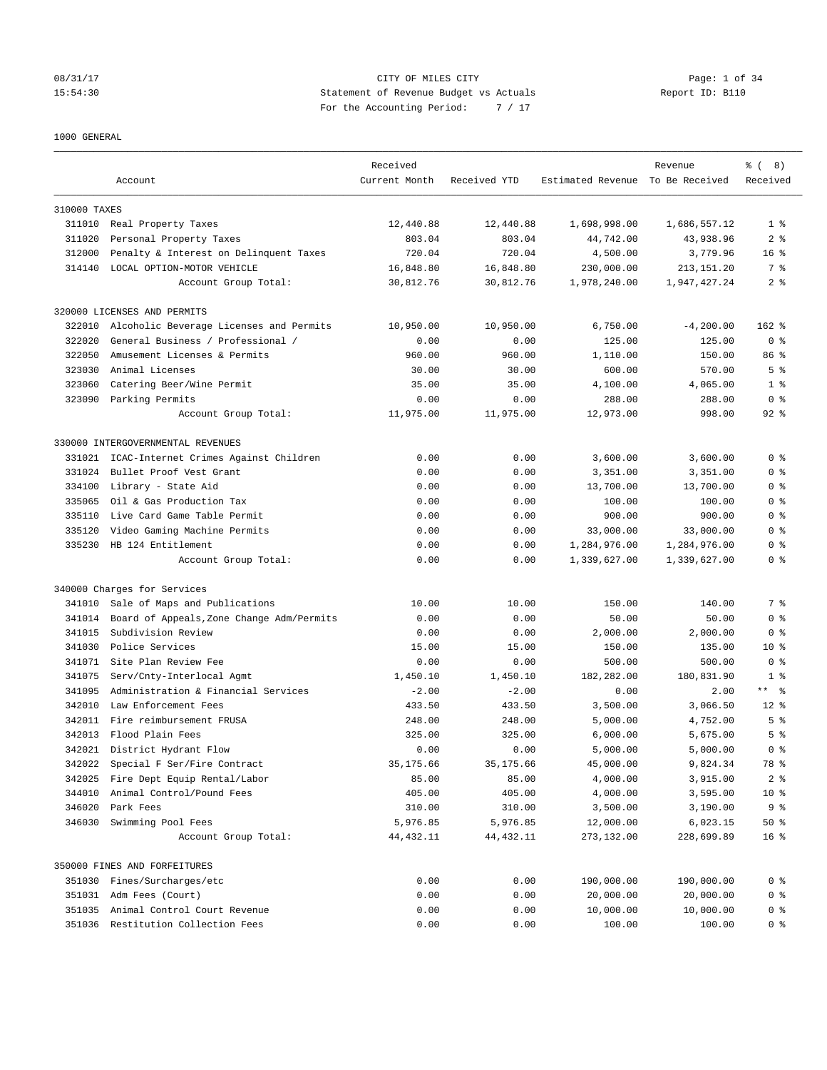### 08/31/17 Page: 1 of 34 15:54:30 Statement of Revenue Budget vs Actuals Report ID: B110 For the Accounting Period: 7 / 17

### 1000 GENERAL

|              |                                            | Received               |                       |                                  | Revenue                | $\frac{6}{6}$ ( 8)     |
|--------------|--------------------------------------------|------------------------|-----------------------|----------------------------------|------------------------|------------------------|
|              | Account                                    | Current Month          | Received YTD          | Estimated Revenue To Be Received |                        | Received               |
| 310000 TAXES |                                            |                        |                       |                                  |                        |                        |
|              | 311010 Real Property Taxes                 | 12,440.88              | 12,440.88             | 1,698,998.00                     | 1,686,557.12           | 1 <sup>8</sup>         |
| 311020       | Personal Property Taxes                    | 803.04                 | 803.04                | 44,742.00                        | 43,938.96              | 2 <sub>8</sub>         |
| 312000       | Penalty & Interest on Delinquent Taxes     | 720.04                 | 720.04                | 4,500.00                         | 3,779.96               | 16 <sup>8</sup>        |
| 314140       | LOCAL OPTION-MOTOR VEHICLE                 | 16,848.80              | 16,848.80             | 230,000.00                       | 213, 151. 20           | 7 %                    |
|              | Account Group Total:                       | 30,812.76              | 30,812.76             | 1,978,240.00                     | 1,947,427.24           | 2 <sup>8</sup>         |
|              | 320000 LICENSES AND PERMITS                |                        |                       |                                  |                        |                        |
| 322010       | Alcoholic Beverage Licenses and Permits    | 10,950.00              | 10,950.00             | 6,750.00                         | $-4, 200.00$           | $162$ %                |
| 322020       | General Business / Professional /          | 0.00                   | 0.00                  | 125.00                           | 125.00                 | 0 <sup>8</sup>         |
| 322050       | Amusement Licenses & Permits               | 960.00                 | 960.00                | 1,110.00                         | 150.00                 | 86 %                   |
| 323030       | Animal Licenses                            | 30.00                  | 30.00                 | 600.00                           | 570.00                 | 5 <sup>°</sup>         |
| 323060       | Catering Beer/Wine Permit                  | 35.00                  | 35.00                 | 4,100.00                         | 4,065.00               | 1 <sup>8</sup>         |
| 323090       | Parking Permits                            | 0.00                   | 0.00                  | 288.00                           | 288.00                 | 0 <sup>8</sup>         |
|              | Account Group Total:                       | 11,975.00              | 11,975.00             | 12,973.00                        | 998.00                 | $92$ $%$               |
|              | 330000 INTERGOVERNMENTAL REVENUES          |                        |                       |                                  |                        |                        |
| 331021       | ICAC-Internet Crimes Against Children      | 0.00                   | 0.00                  | 3,600.00                         | 3,600.00               | 0 <sup>8</sup>         |
| 331024       | Bullet Proof Vest Grant                    | 0.00                   | 0.00                  | 3,351.00                         | 3,351.00               | 0 <sup>8</sup>         |
| 334100       | Library - State Aid                        | 0.00                   | 0.00                  | 13,700.00                        | 13,700.00              | 0 <sup>8</sup>         |
| 335065       | Oil & Gas Production Tax                   | 0.00                   | 0.00                  | 100.00                           | 100.00                 | 0 <sup>8</sup>         |
| 335110       | Live Card Game Table Permit                | 0.00                   | 0.00                  | 900.00                           | 900.00                 | 0 <sup>8</sup>         |
| 335120       | Video Gaming Machine Permits               | 0.00                   | 0.00                  | 33,000.00                        | 33,000.00              | 0 <sup>8</sup>         |
| 335230       | HB 124 Entitlement                         | 0.00                   | 0.00                  | 1,284,976.00                     | 1,284,976.00           | 0 <sup>8</sup>         |
|              | Account Group Total:                       | 0.00                   | 0.00                  | 1,339,627.00                     | 1,339,627.00           | 0 <sup>8</sup>         |
|              | 340000 Charges for Services                |                        |                       |                                  |                        |                        |
| 341010       | Sale of Maps and Publications              | 10.00                  | 10.00                 | 150.00                           | 140.00                 | 7 %                    |
| 341014       | Board of Appeals, Zone Change Adm/Permits  | 0.00                   | 0.00                  | 50.00                            | 50.00                  | 0 <sup>8</sup>         |
| 341015       | Subdivision Review                         | 0.00                   | 0.00                  | 2,000.00                         | 2,000.00               | 0 <sup>8</sup>         |
| 341030       | Police Services                            | 15.00                  | 15.00                 | 150.00                           | 135.00                 | 10 <sub>8</sub>        |
| 341071       | Site Plan Review Fee                       | 0.00                   | 0.00                  | 500.00                           | 500.00                 | 0 <sup>8</sup>         |
| 341075       | Serv/Cnty-Interlocal Agmt                  | 1,450.10               | 1,450.10              | 182,282.00                       | 180,831.90             | 1 <sup>8</sup>         |
| 341095       | Administration & Financial Services        | $-2.00$                | $-2.00$               | 0.00                             | 2.00                   | $***$ $ -$             |
| 342010       | Law Enforcement Fees                       | 433.50                 | 433.50                | 3,500.00                         | 3,066.50               | $12*$                  |
|              | 342011 Fire reimbursement FRUSA            | 248.00                 | 248.00                | 5,000.00                         | 4,752.00               | 5 <sup>8</sup>         |
| 342013       | Flood Plain Fees                           | 325.00                 | 325.00                | 6,000.00                         | 5,675.00               | 5 <sup>°</sup>         |
|              | 342021 District Hydrant Flow               | 0.00                   | 0.00                  | 5,000.00                         | 5,000.00               | 0 <sup>8</sup>         |
|              |                                            |                        |                       |                                  |                        | 78 %                   |
| 342022       | Special F Ser/Fire Contract                | 35, 175.66             | 35,175.66             | 45,000.00                        | 9,824.34               |                        |
| 342025       | Fire Dept Equip Rental/Labor               | 85.00                  | 85.00                 | 4,000.00                         | 3,915.00               | 2 <sub>8</sub>         |
| 344010       | Animal Control/Pound Fees                  | 405.00                 | 405.00                | 4,000.00                         | 3,595.00               | $10*$                  |
| 346020       | Park Fees                                  | 310.00                 | 310.00                | 3,500.00                         | 3,190.00               | 9 <sub>8</sub>         |
| 346030       | Swimming Pool Fees<br>Account Group Total: | 5,976.85<br>44, 432.11 | 5,976.85<br>44,432.11 | 12,000.00<br>273,132.00          | 6,023.15<br>228,699.89 | 50%<br>16 <sup>°</sup> |
|              | 350000 FINES AND FORFEITURES               |                        |                       |                                  |                        |                        |
|              |                                            |                        |                       |                                  |                        |                        |
| 351030       | Fines/Surcharges/etc                       | 0.00                   | 0.00                  | 190,000.00                       | 190,000.00             | 0 <sup>8</sup>         |
|              | 351031 Adm Fees (Court)                    | 0.00                   | 0.00                  | 20,000.00                        | 20,000.00              | 0 <sup>8</sup>         |
| 351035       | Animal Control Court Revenue               | 0.00                   | 0.00                  | 10,000.00                        | 10,000.00              | 0 <sup>8</sup>         |
|              | 351036 Restitution Collection Fees         | 0.00                   | 0.00                  | 100.00                           | 100.00                 | 0 <sup>8</sup>         |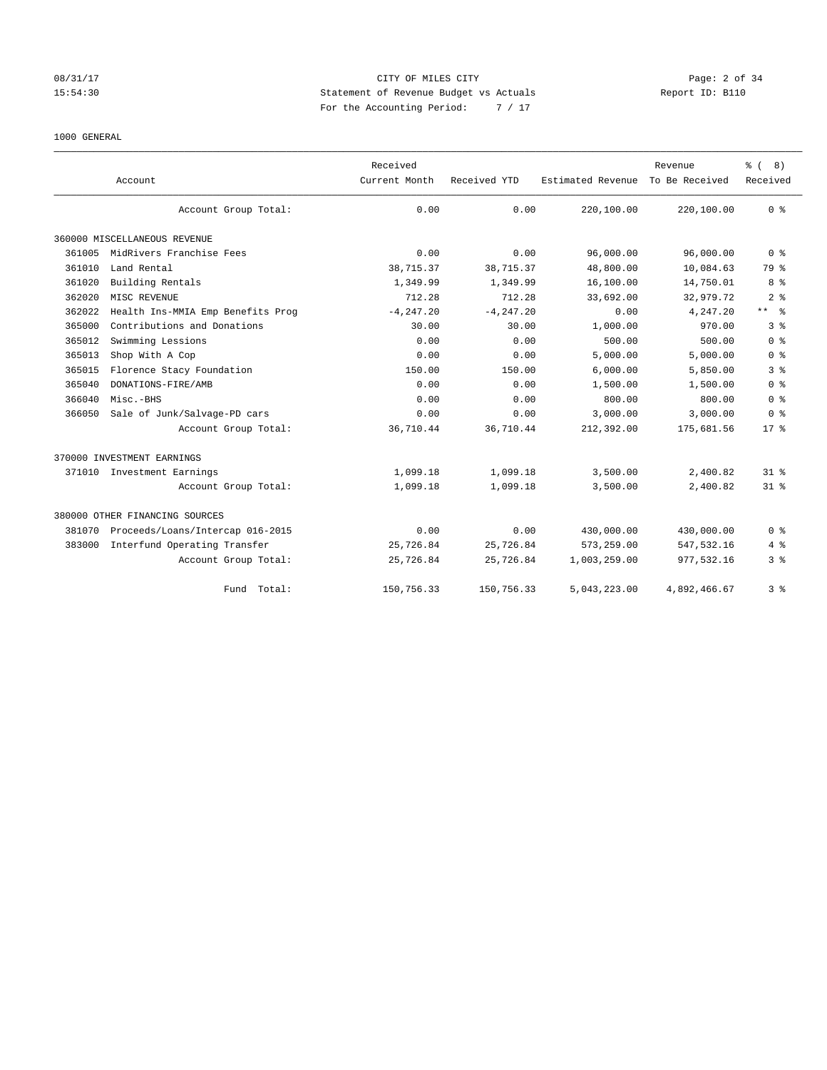## 08/31/17 CITY OF MILES CITY Page: 2 of 34 15:54:30 Statement of Revenue Budget vs Actuals Report ID: B110 For the Accounting Period: 7 / 17

### 1000 GENERAL

|        | Account                           | Received<br>Current Month | Received YTD | Estimated Revenue | Revenue<br>To Be Received | $\frac{6}{6}$ ( 8)<br>Received |
|--------|-----------------------------------|---------------------------|--------------|-------------------|---------------------------|--------------------------------|
|        | Account Group Total:              | 0.00                      | 0.00         | 220,100.00        | 220,100.00                | 0 <sup>8</sup>                 |
|        | 360000 MISCELLANEOUS REVENUE      |                           |              |                   |                           |                                |
| 361005 | MidRivers Franchise Fees          | 0.00                      | 0.00         | 96,000.00         | 96,000.00                 | 0 <sup>8</sup>                 |
| 361010 | Land Rental                       | 38,715.37                 | 38,715.37    | 48,800.00         | 10,084.63                 | 79 %                           |
| 361020 | Building Rentals                  | 1,349.99                  | 1,349.99     | 16,100.00         | 14,750.01                 | 8 %                            |
| 362020 | MISC REVENUE                      | 712.28                    | 712.28       | 33,692.00         | 32,979.72                 | 2 <sup>8</sup>                 |
| 362022 | Health Ins-MMIA Emp Benefits Prog | $-4, 247.20$              | $-4, 247.20$ | 0.00              | 4,247.20                  | $***$ $ -$                     |
| 365000 | Contributions and Donations       | 30.00                     | 30.00        | 1,000.00          | 970.00                    | 3 <sup>8</sup>                 |
| 365012 | Swimming Lessions                 | 0.00                      | 0.00         | 500.00            | 500.00                    | 0 <sup>8</sup>                 |
| 365013 | Shop With A Cop                   | 0.00                      | 0.00         | 5,000.00          | 5,000.00                  | 0 <sup>8</sup>                 |
| 365015 | Florence Stacy Foundation         | 150.00                    | 150.00       | 6,000.00          | 5,850.00                  | 3 <sup>8</sup>                 |
| 365040 | DONATIONS-FIRE/AMB                | 0.00                      | 0.00         | 1,500.00          | 1,500.00                  | 0 <sup>8</sup>                 |
| 366040 | Misc.-BHS                         | 0.00                      | 0.00         | 800.00            | 800.00                    | 0 <sup>8</sup>                 |
| 366050 | Sale of Junk/Salvage-PD cars      | 0.00                      | 0.00         | 3,000.00          | 3,000.00                  | 0 <sup>8</sup>                 |
|        | Account Group Total:              | 36,710.44                 | 36,710.44    | 212,392.00        | 175,681.56                | $17*$                          |
|        | 370000 INVESTMENT EARNINGS        |                           |              |                   |                           |                                |
|        | 371010 Investment Earnings        | 1,099.18                  | 1,099.18     | 3,500.00          | 2,400.82                  | $31$ $%$                       |
|        | Account Group Total:              | 1,099.18                  | 1,099.18     | 3,500.00          | 2,400.82                  | 31.8                           |
|        | 380000 OTHER FINANCING SOURCES    |                           |              |                   |                           |                                |
| 381070 | Proceeds/Loans/Intercap 016-2015  | 0.00                      | 0.00         | 430,000.00        | 430,000.00                | 0 <sup>8</sup>                 |
| 383000 | Interfund Operating Transfer      | 25,726.84                 | 25,726.84    | 573,259.00        | 547,532.16                | $4\degree$                     |
|        | Account Group Total:              | 25,726.84                 | 25,726.84    | 1,003,259.00      | 977,532.16                | 3 %                            |
|        | Fund Total:                       | 150,756.33                | 150,756.33   | 5,043,223.00      | 4.892.466.67              | 3 <sup>8</sup>                 |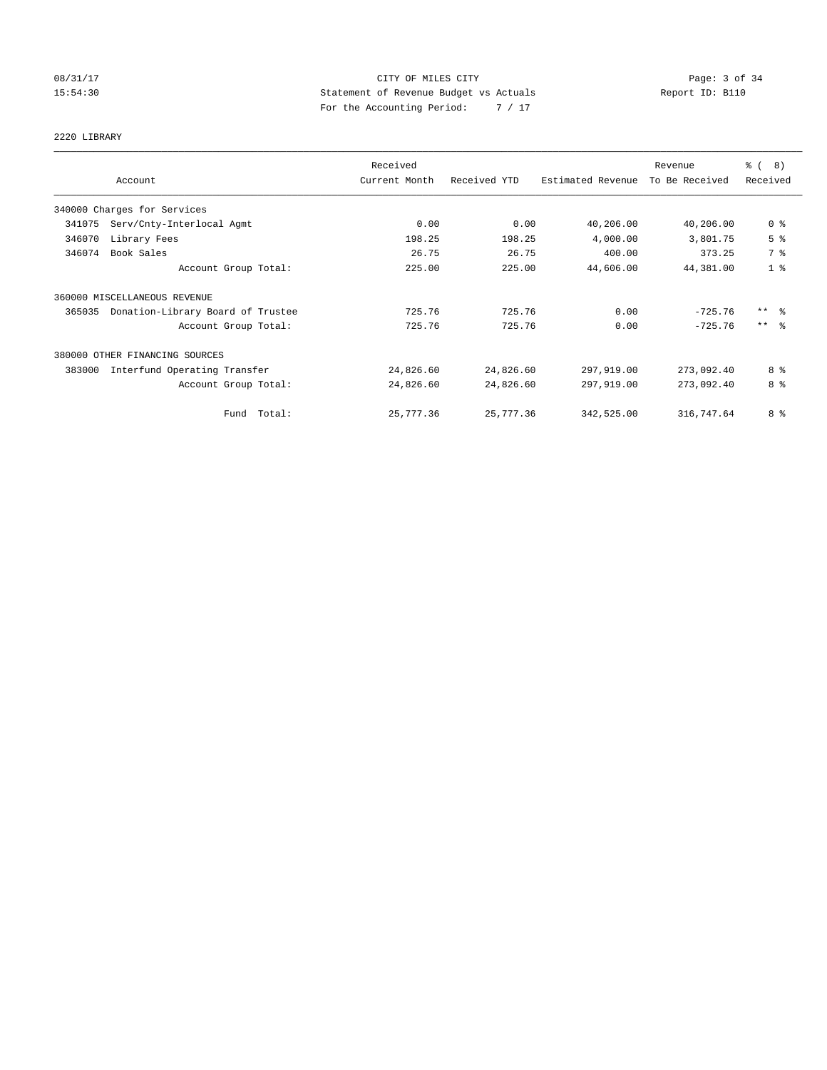### 08/31/17 CITY OF MILES CITY Page: 3 of 34 15:54:30 Statement of Revenue Budget vs Actuals Report ID: B110 For the Accounting Period: 7 / 17

# 2220 LIBRARY

|        |                                   | Received      |              |                   | Revenue        | $\frac{6}{6}$ ( 8)  |
|--------|-----------------------------------|---------------|--------------|-------------------|----------------|---------------------|
|        | Account                           | Current Month | Received YTD | Estimated Revenue | To Be Received | Received            |
|        | 340000 Charges for Services       |               |              |                   |                |                     |
| 341075 | Serv/Cnty-Interlocal Agmt         | 0.00          | 0.00         | 40,206.00         | 40,206.00      | 0 <sup>8</sup>      |
| 346070 | Library Fees                      | 198.25        | 198.25       | 4,000.00          | 3,801.75       | 5 <sup>°</sup>      |
| 346074 | Book Sales                        | 26.75         | 26.75        | 400.00            | 373.25         | 7 %                 |
|        | Account Group Total:              | 225.00        | 225.00       | 44,606.00         | 44,381.00      | 1 <sup>8</sup>      |
|        | 360000 MISCELLANEOUS REVENUE      |               |              |                   |                |                     |
| 365035 | Donation-Library Board of Trustee | 725.76        | 725.76       | 0.00              | $-725.76$      | $***$ $\frac{6}{6}$ |
|        | Account Group Total:              | 725.76        | 725.76       | 0.00              | $-725.76$      | $***$ $\approx$     |
|        | 380000 OTHER FINANCING SOURCES    |               |              |                   |                |                     |
| 383000 | Interfund Operating Transfer      | 24,826.60     | 24,826.60    | 297,919.00        | 273,092.40     | 8 %                 |
|        | Account Group Total:              | 24,826.60     | 24,826.60    | 297,919.00        | 273,092.40     | 8 %                 |
|        | Fund Total:                       | 25,777.36     | 25,777.36    | 342,525.00        | 316,747.64     | 8 %                 |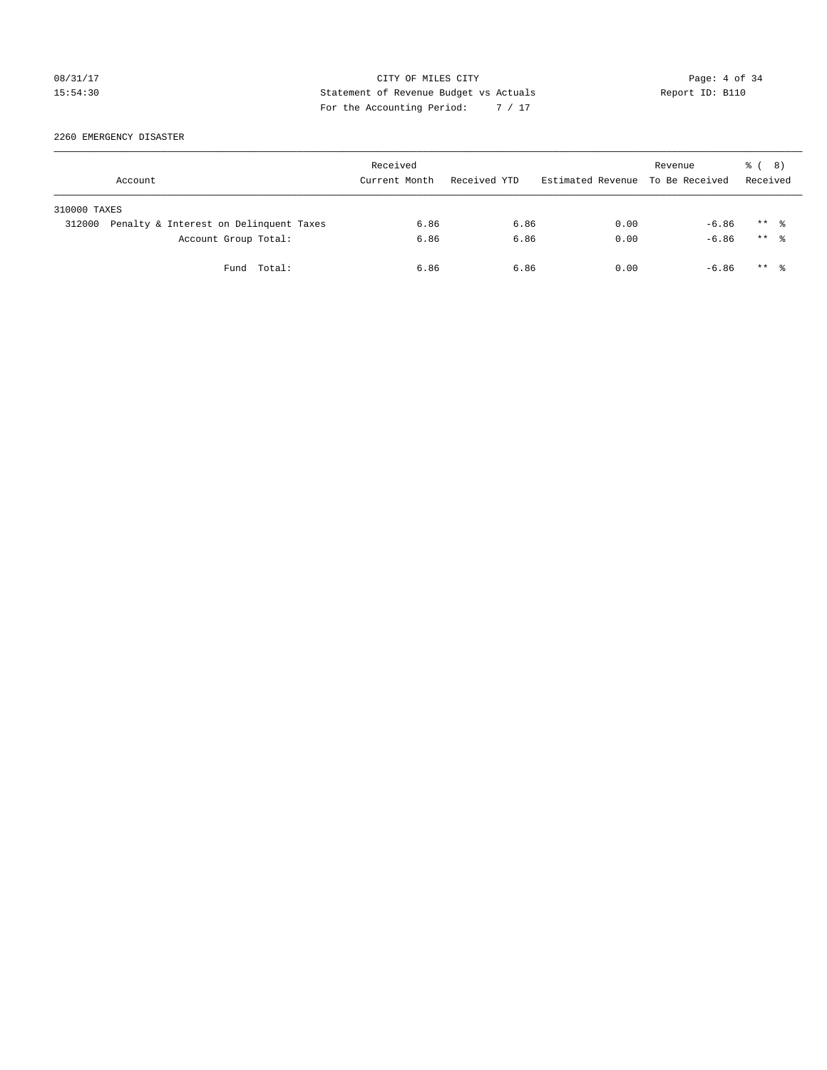## 08/31/17 CITY OF MILES CITY Page: 4 of 34 15:54:30 Statement of Revenue Budget vs Actuals Report ID: B110 For the Accounting Period: 7 / 17

2260 EMERGENCY DISASTER

|              | Account                                | Received<br>Current Month | Received YTD | Estimated Revenue To Be Received | Revenue | <sub>ර</sub> ි ( 8 )<br>Received |  |
|--------------|----------------------------------------|---------------------------|--------------|----------------------------------|---------|----------------------------------|--|
| 310000 TAXES |                                        |                           |              |                                  |         |                                  |  |
| 312000       | Penalty & Interest on Delinquent Taxes | 6.86                      | 6.86         | 0.00                             | $-6.86$ | $***$ %                          |  |
|              | Account Group Total:                   | 6.86                      | 6.86         | 0.00                             | $-6.86$ | $***$ $\frac{6}{10}$             |  |
|              | Fund Total:                            | 6.86                      | 6.86         | 0.00                             | $-6.86$ | $***$ $\frac{6}{10}$             |  |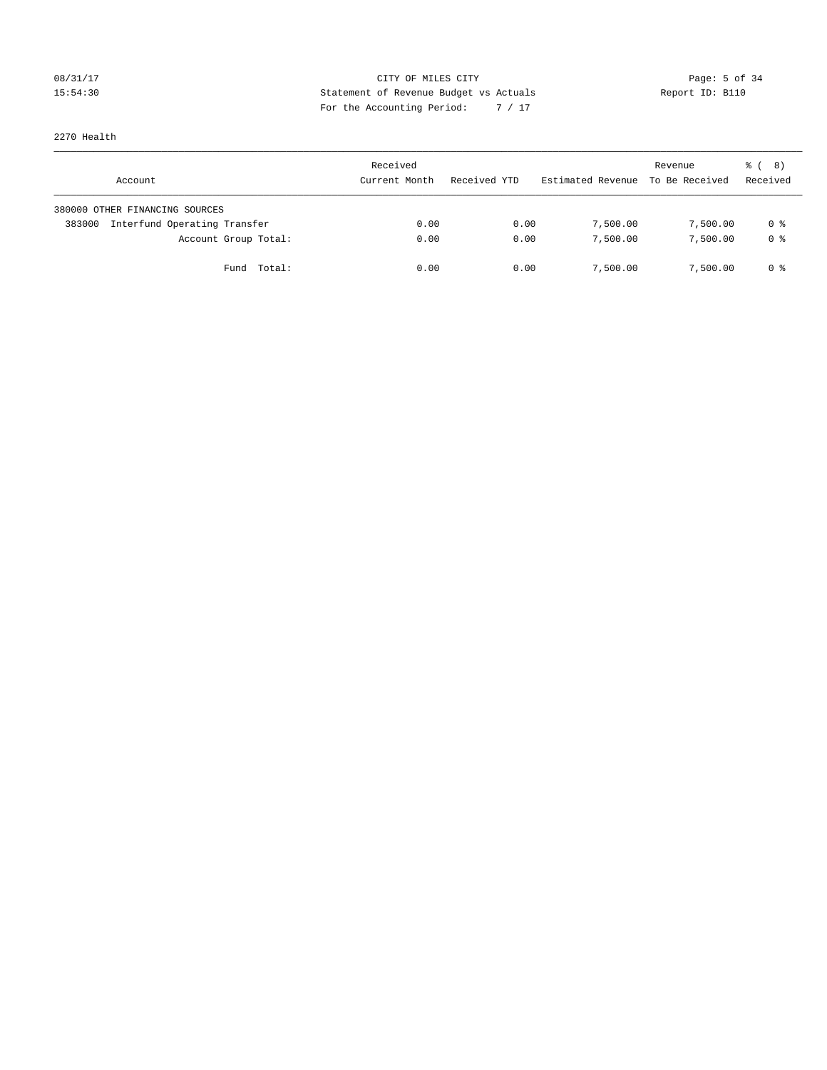## 08/31/17 Page: 5 of 34 15:54:30 Statement of Revenue Budget vs Actuals Report ID: B110 For the Accounting Period: 7 / 17

2270 Health

| Account                                | Received<br>Current Month | Received YTD | Estimated Revenue | Revenue<br>To Be Received | $\frac{6}{6}$ ( 8)<br>Received |
|----------------------------------------|---------------------------|--------------|-------------------|---------------------------|--------------------------------|
| 380000 OTHER FINANCING SOURCES         |                           |              |                   |                           |                                |
| Interfund Operating Transfer<br>383000 | 0.00                      | 0.00         | 7,500.00          | 7,500.00                  | 0 %                            |
| Account Group Total:                   | 0.00                      | 0.00         | 7,500.00          | 7,500.00                  | 0 %                            |
| Total:<br>Fund                         | 0.00                      | 0.00         | 7,500.00          | 7,500.00                  | 0 %                            |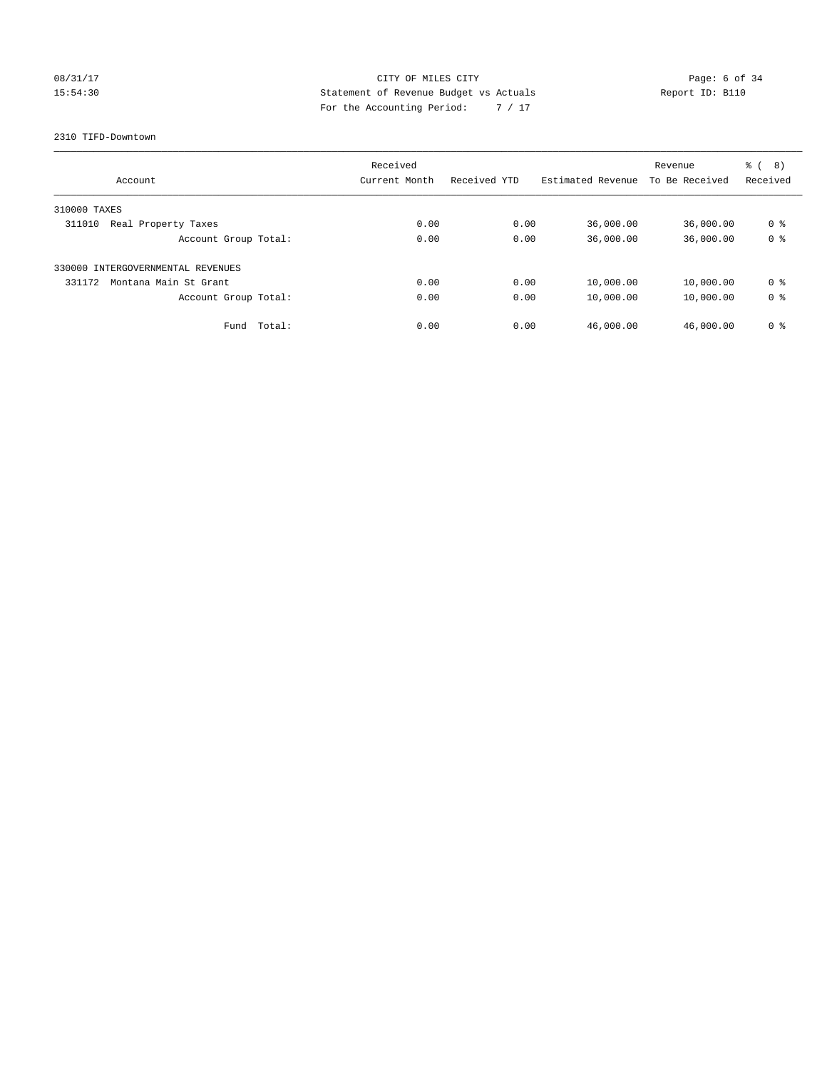### 08/31/17 CITY OF MILES CITY Page: 6 of 34 15:54:30 Statement of Revenue Budget vs Actuals Report ID: B110 For the Accounting Period: 7 / 17

### 2310 TIFD-Downtown

| Account                           | Received<br>Current Month | Received YTD | Estimated Revenue | Revenue<br>To Be Received | ී (<br>(8)<br>Received |
|-----------------------------------|---------------------------|--------------|-------------------|---------------------------|------------------------|
| 310000 TAXES                      |                           |              |                   |                           |                        |
| Real Property Taxes<br>311010     | 0.00                      | 0.00         | 36,000.00         | 36,000.00                 | 0 <sup>8</sup>         |
| Account Group Total:              | 0.00                      | 0.00         | 36,000.00         | 36,000.00                 | 0 <sup>8</sup>         |
| 330000 INTERGOVERNMENTAL REVENUES |                           |              |                   |                           |                        |
| 331172<br>Montana Main St Grant   | 0.00                      | 0.00         | 10,000.00         | 10,000.00                 | 0 <sup>8</sup>         |
| Account Group Total:              | 0.00                      | 0.00         | 10,000.00         | 10,000.00                 | 0 <sup>8</sup>         |
| Total:<br>Fund                    | 0.00                      | 0.00         | 46,000.00         | 46,000.00                 | 0 %                    |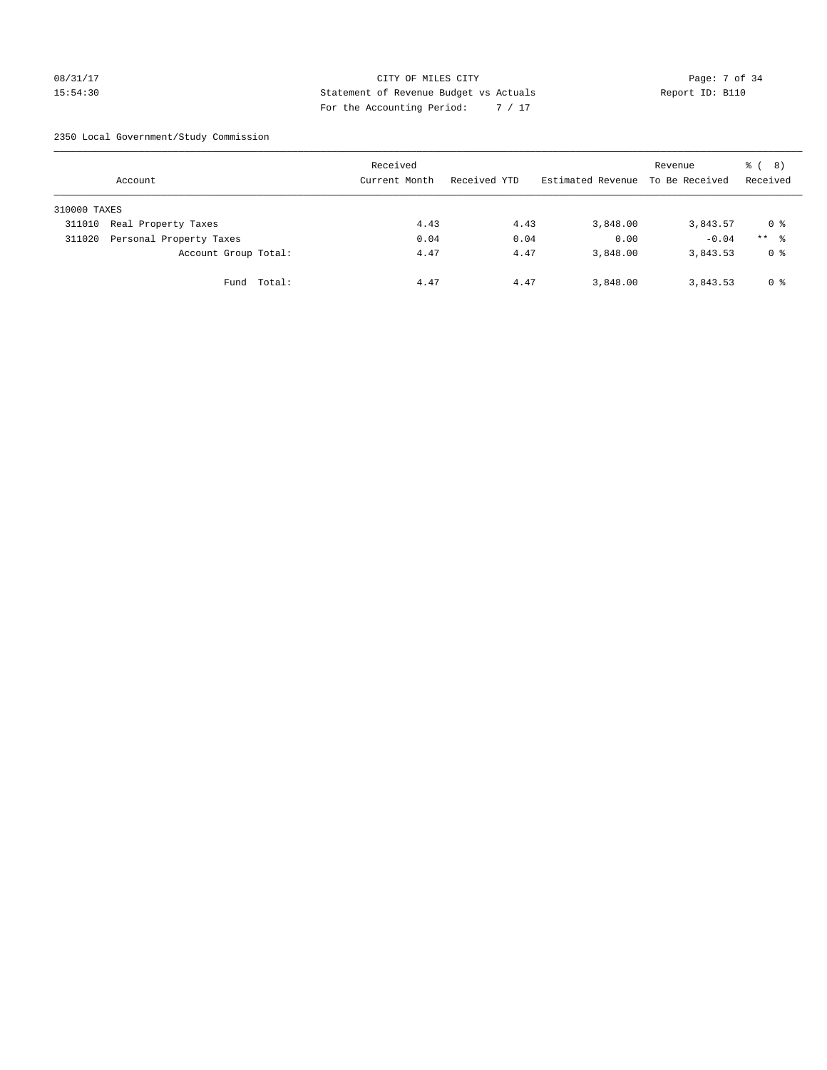### 08/31/17 CITY OF MILES CITY Page: 7 of 34 15:54:30 Statement of Revenue Budget vs Actuals Report ID: B110 For the Accounting Period: 7 / 17

2350 Local Government/Study Commission

|              | Account                 |             | Received<br>Current Month | Received YTD | Estimated Revenue | Revenue<br>To Be Received | $\frac{6}{6}$ ( 8)<br>Received |
|--------------|-------------------------|-------------|---------------------------|--------------|-------------------|---------------------------|--------------------------------|
| 310000 TAXES |                         |             |                           |              |                   |                           |                                |
| 311010       | Real Property Taxes     |             | 4.43                      | 4.43         | 3,848.00          | 3,843.57                  | 0 %                            |
| 311020       | Personal Property Taxes |             | 0.04                      | 0.04         | 0.00              | $-0.04$                   | $***$ %                        |
|              | Account Group Total:    |             | 4.47                      | 4.47         | 3,848.00          | 3,843.53                  | 0 <sup>8</sup>                 |
|              |                         | Fund Total: | 4.47                      | 4.47         | 3,848.00          | 3,843.53                  | 0 %                            |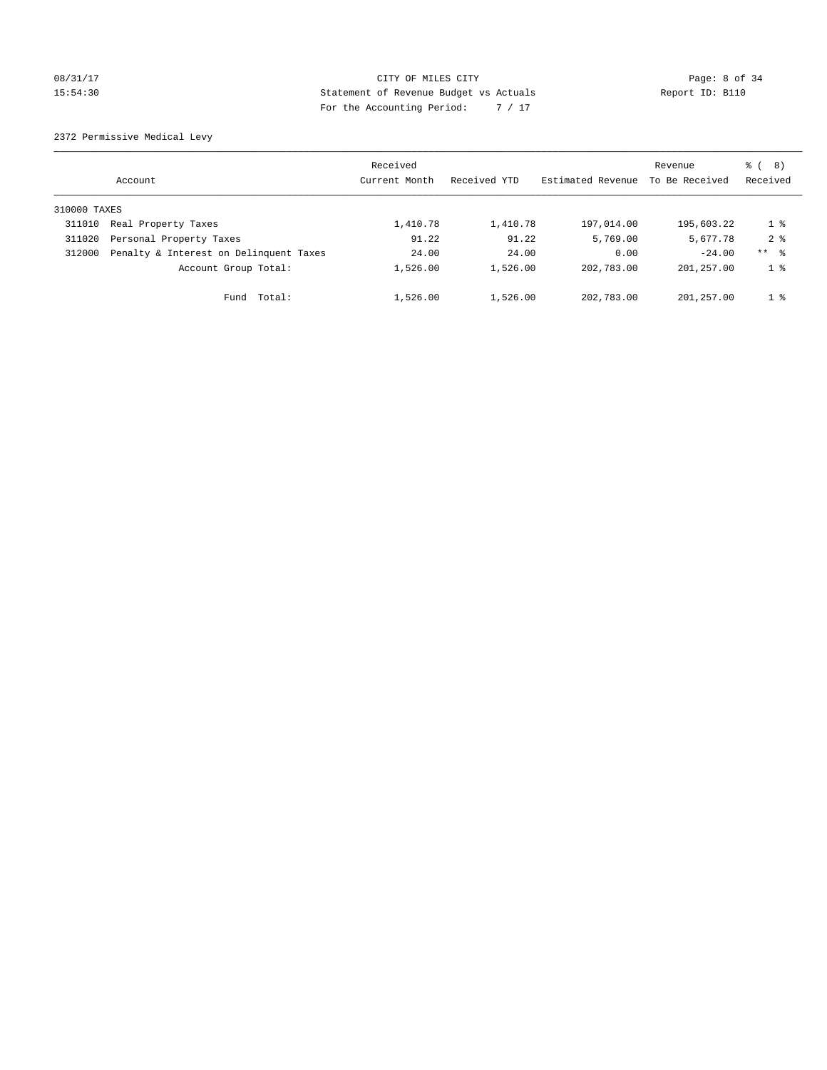### 08/31/17 CITY OF MILES CITY Page: 8 of 34 15:54:30 Statement of Revenue Budget vs Actuals Report ID: B110 For the Accounting Period: 7 / 17

2372 Permissive Medical Levy

|              | Account                                | Received<br>Current Month | Received YTD | Estimated Revenue | Revenue<br>To Be Received | ී (<br>8)<br>Received |
|--------------|----------------------------------------|---------------------------|--------------|-------------------|---------------------------|-----------------------|
| 310000 TAXES |                                        |                           |              |                   |                           |                       |
| 311010       | Real Property Taxes                    | 1,410.78                  | 1,410.78     | 197,014.00        | 195,603.22                | $1 \circ$             |
| 311020       | Personal Property Taxes                | 91.22                     | 91.22        | 5,769.00          | 5,677.78                  | $2 \div$              |
| 312000       | Penalty & Interest on Delinquent Taxes | 24.00                     | 24.00        | 0.00              | $-24.00$                  | $***$ $ -$            |
|              | Account Group Total:                   | 1,526.00                  | 1,526.00     | 202,783.00        | 201,257.00                | 1 <sup>8</sup>        |
|              | Total:<br>Fund                         | 1,526.00                  | 1,526.00     | 202,783.00        | 201,257.00                | 1 <sup>8</sup>        |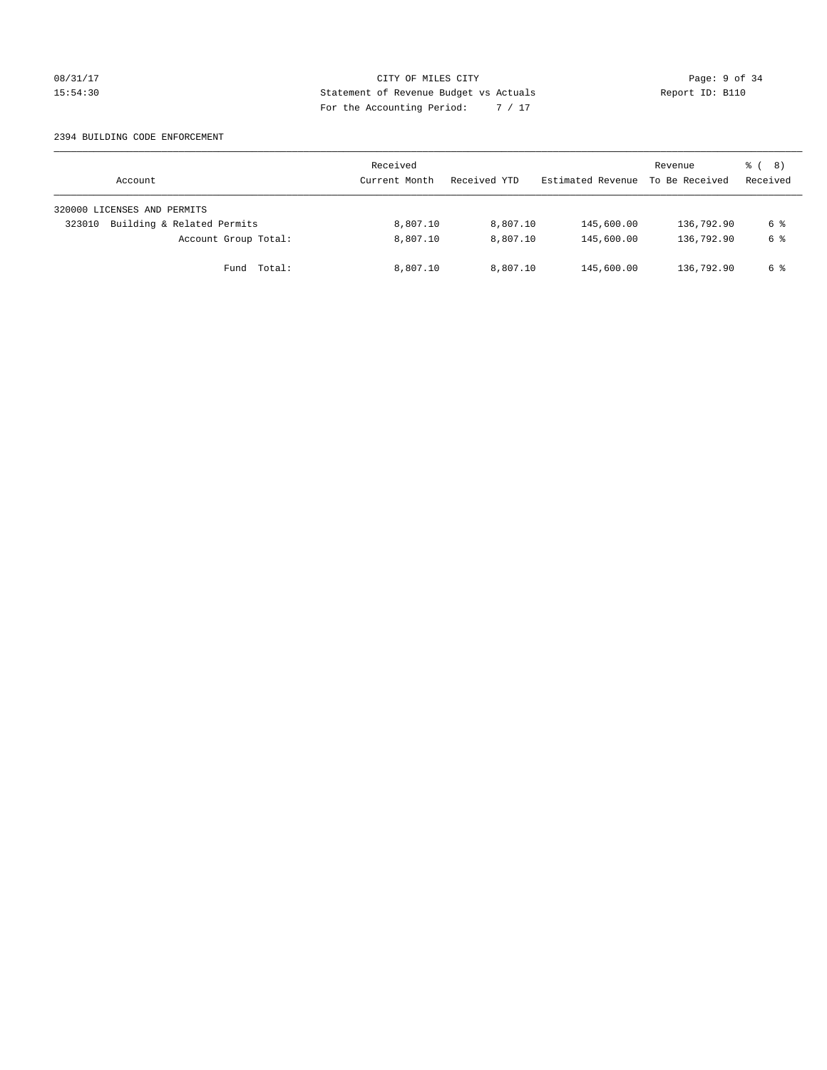### 08/31/17 CITY OF MILES CITY Page: 9 of 34 15:54:30 Statement of Revenue Budget vs Actuals Report ID: B110 For the Accounting Period: 7 / 17

### 2394 BUILDING CODE ENFORCEMENT

| Account                              | Received<br>Current Month | Received YTD | Estimated Revenue | Revenue<br>To Be Received | $\frac{6}{6}$ ( 8)<br>Received |
|--------------------------------------|---------------------------|--------------|-------------------|---------------------------|--------------------------------|
| 320000 LICENSES AND PERMITS          |                           |              |                   |                           |                                |
| Building & Related Permits<br>323010 | 8,807.10                  | 8,807.10     | 145,600.00        | 136,792.90                | 6 %                            |
| Account Group Total:                 | 8,807.10                  | 8,807.10     | 145,600.00        | 136,792.90                | 6 %                            |
| Fund Total:                          | 8,807.10                  | 8,807.10     | 145,600.00        | 136,792.90                | 6 %                            |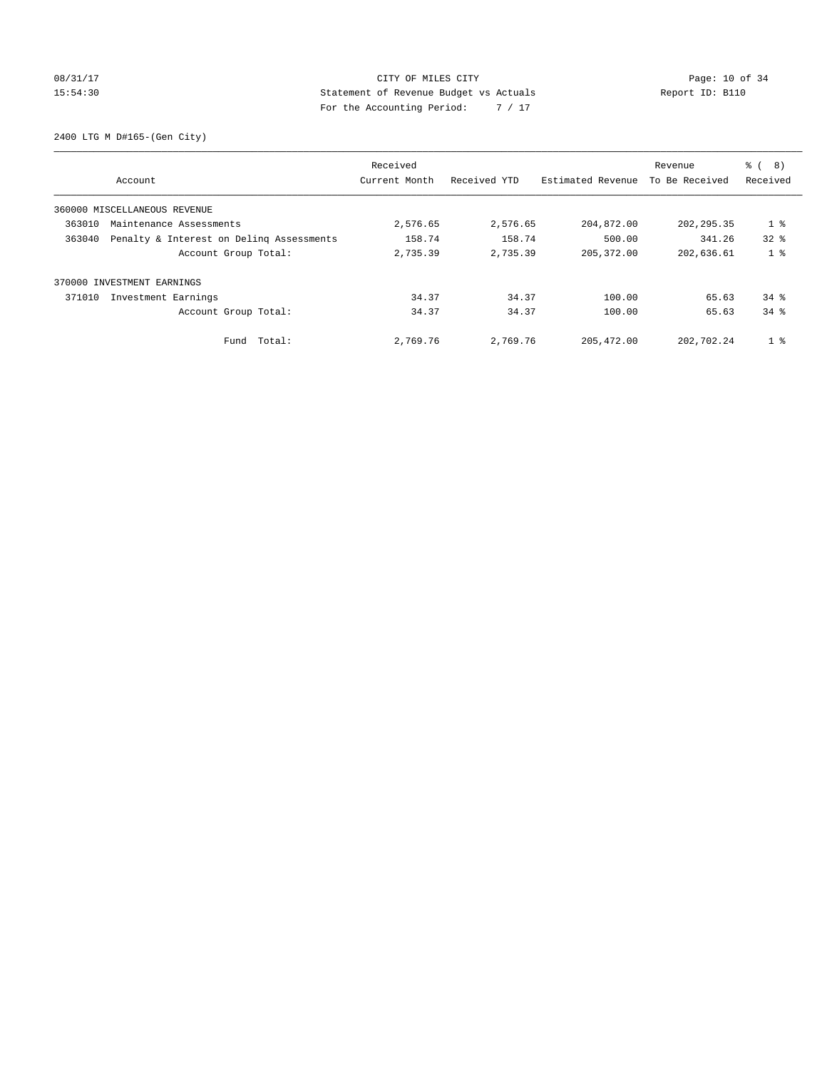### 08/31/17 Page: 10 of 34 15:54:30 Statement of Revenue Budget vs Actuals Report ID: B110 For the Accounting Period: 7 / 17

2400 LTG M D#165-(Gen City)

|        | Account                                  | Received<br>Current Month | Received YTD | Estimated Revenue | Revenue<br>To Be Received | ී (<br>8)<br>Received |
|--------|------------------------------------------|---------------------------|--------------|-------------------|---------------------------|-----------------------|
|        |                                          |                           |              |                   |                           |                       |
|        | 360000 MISCELLANEOUS REVENUE             |                           |              |                   |                           |                       |
| 363010 | Maintenance Assessments                  | 2,576.65                  | 2,576.65     | 204,872.00        | 202, 295.35               | 1 <sub>8</sub>        |
| 363040 | Penalty & Interest on Deling Assessments | 158.74                    | 158.74       | 500.00            | 341.26                    | 328                   |
|        | Account Group Total:                     | 2,735.39                  | 2,735.39     | 205, 372.00       | 202,636.61                | 1 <sub>8</sub>        |
| 370000 | INVESTMENT EARNINGS                      |                           |              |                   |                           |                       |
| 371010 | Investment Earnings                      | 34.37                     | 34.37        | 100.00            | 65.63                     | $34$ $%$              |
|        | Account Group Total:                     | 34.37                     | 34.37        | 100.00            | 65.63                     | 34.8                  |
|        | Fund Total:                              | 2,769.76                  | 2,769.76     | 205, 472.00       | 202,702.24                | 1 <sup>8</sup>        |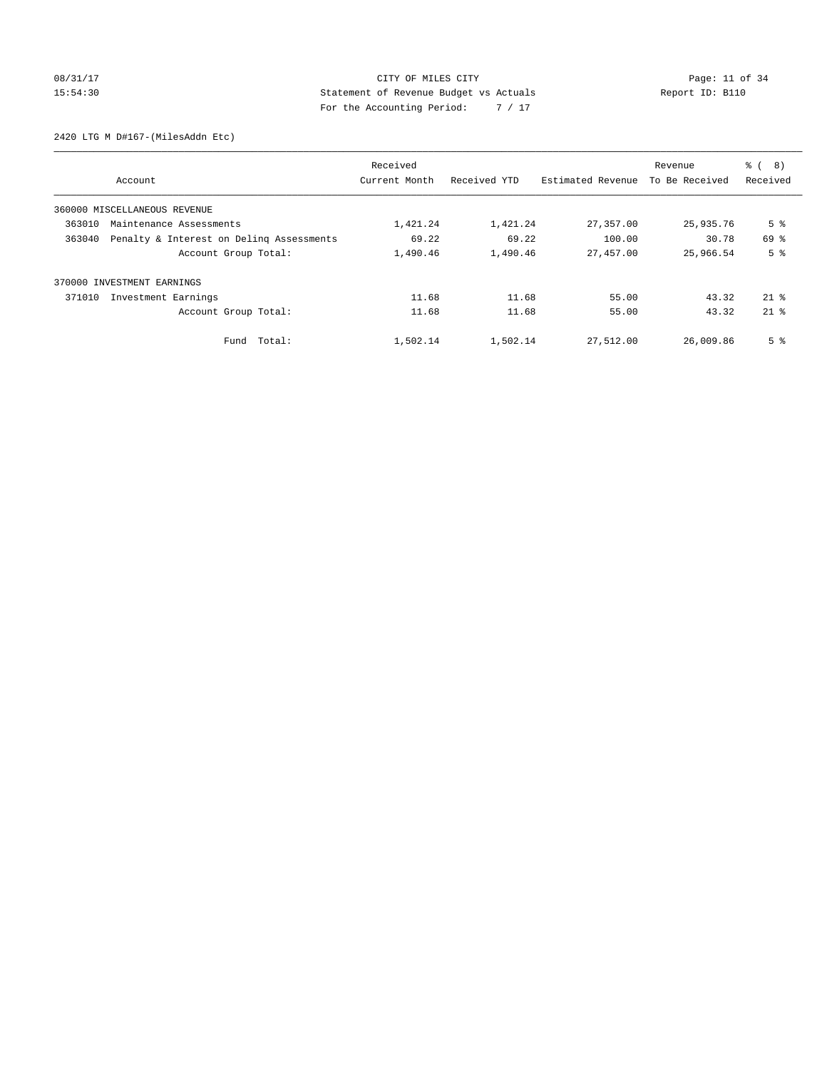## 08/31/17 Page: 11 of 34 15:54:30 Statement of Revenue Budget vs Actuals Report ID: B110 For the Accounting Period: 7 / 17

2420 LTG M D#167-(MilesAddn Etc)

|        |                                          | Received      |              |                   | Revenue        | ී (<br>8)      |
|--------|------------------------------------------|---------------|--------------|-------------------|----------------|----------------|
|        | Account                                  | Current Month | Received YTD | Estimated Revenue | To Be Received | Received       |
|        | 360000 MISCELLANEOUS REVENUE             |               |              |                   |                |                |
| 363010 | Maintenance Assessments                  | 1,421.24      | 1,421.24     | 27,357.00         | 25,935.76      | 5 <sup>°</sup> |
| 363040 | Penalty & Interest on Deling Assessments | 69.22         | 69.22        | 100.00            | 30.78          | 69 %           |
|        | Account Group Total:                     | 1,490.46      | 1,490.46     | 27,457.00         | 25,966.54      | 5 <sup>8</sup> |
|        | 370000 INVESTMENT EARNINGS               |               |              |                   |                |                |
| 371010 | Investment Earnings                      | 11.68         | 11.68        | 55.00             | 43.32          | $21*$          |
|        | Account Group Total:                     | 11.68         | 11.68        | 55.00             | 43.32          | $21$ $%$       |
|        | Fund Total:                              | 1,502.14      | 1,502.14     | 27,512.00         | 26,009.86      | 5 <sup>8</sup> |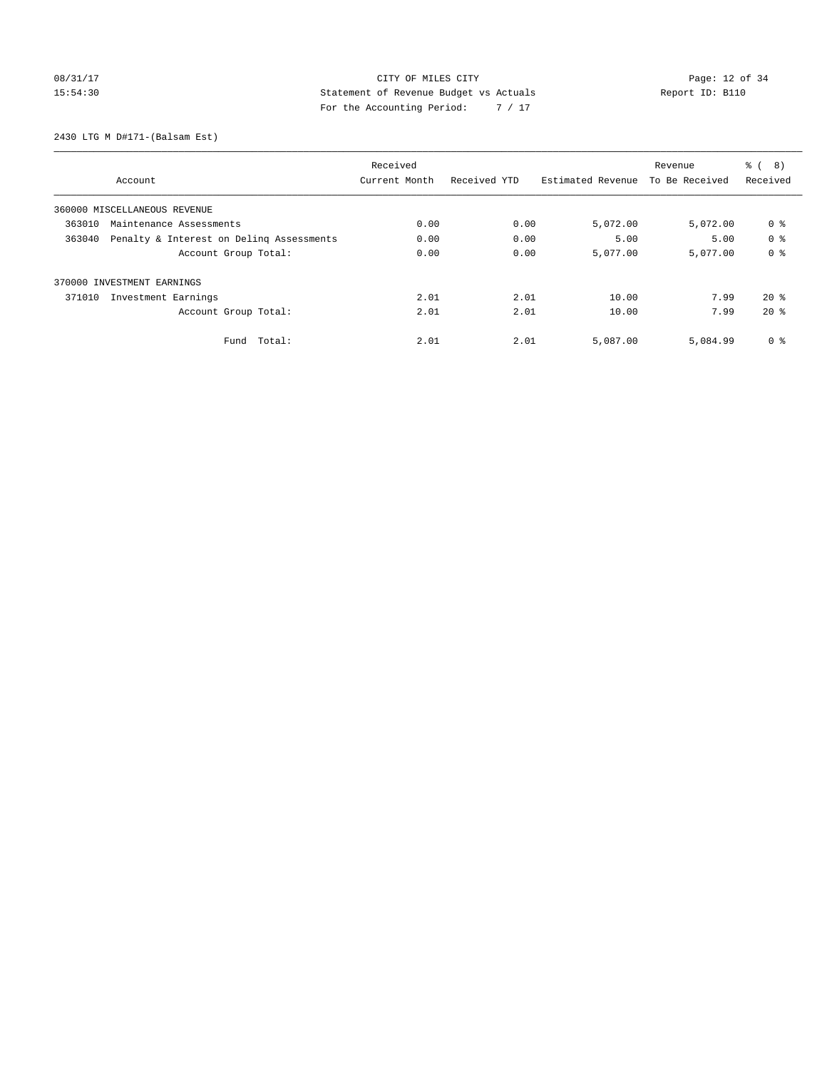## 08/31/17 Page: 12 of 34 15:54:30 Statement of Revenue Budget vs Actuals Report ID: B110 For the Accounting Period: 7 / 17

2430 LTG M D#171-(Balsam Est)

|        |                                          | Received      |              |                   | Revenue        | $\frac{6}{6}$<br>8) |
|--------|------------------------------------------|---------------|--------------|-------------------|----------------|---------------------|
|        | Account                                  | Current Month | Received YTD | Estimated Revenue | To Be Received | Received            |
|        | 360000 MISCELLANEOUS REVENUE             |               |              |                   |                |                     |
| 363010 | Maintenance Assessments                  | 0.00          | 0.00         | 5,072.00          | 5,072.00       | 0 <sup>8</sup>      |
| 363040 | Penalty & Interest on Deling Assessments | 0.00          | 0.00         | 5.00              | 5.00           | 0 <sup>8</sup>      |
|        | Account Group Total:                     | 0.00          | 0.00         | 5,077.00          | 5,077.00       | 0 <sup>8</sup>      |
|        | 370000 INVESTMENT EARNINGS               |               |              |                   |                |                     |
| 371010 | Investment Earnings                      | 2.01          | 2.01         | 10.00             | 7.99           | $20*$               |
|        | Account Group Total:                     | 2.01          | 2.01         | 10.00             | 7.99           | $20*$               |
|        | Total:<br>Fund                           | 2.01          | 2.01         | 5,087.00          | 5,084.99       | 0 <sup>8</sup>      |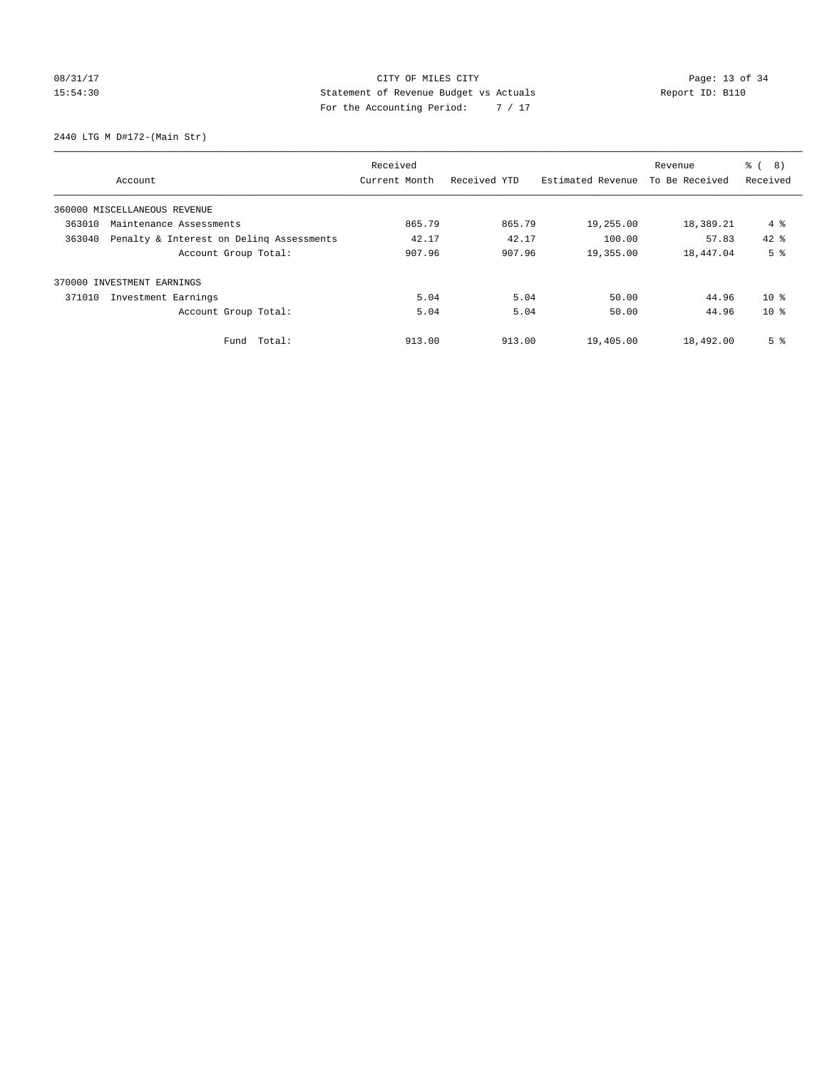## 08/31/17 Page: 13 of 34 15:54:30 Statement of Revenue Budget vs Actuals Report ID: B110 For the Accounting Period: 7 / 17

2440 LTG M D#172-(Main Str)

|        |                                          | Received      |              |                   | Revenue        | る (<br>8)       |
|--------|------------------------------------------|---------------|--------------|-------------------|----------------|-----------------|
|        | Account                                  | Current Month | Received YTD | Estimated Revenue | To Be Received | Received        |
|        | 360000 MISCELLANEOUS REVENUE             |               |              |                   |                |                 |
| 363010 | Maintenance Assessments                  | 865.79        | 865.79       | 19,255.00         | 18,389.21      | 4 %             |
| 363040 | Penalty & Interest on Deling Assessments | 42.17         | 42.17        | 100.00            | 57.83          | $42*$           |
|        | Account Group Total:                     | 907.96        | 907.96       | 19,355.00         | 18,447.04      | 5 <sup>°</sup>  |
| 370000 | INVESTMENT EARNINGS                      |               |              |                   |                |                 |
| 371010 | Investment Earnings                      | 5.04          | 5.04         | 50.00             | 44.96          | 10 <sup>8</sup> |
|        | Account Group Total:                     | 5.04          | 5.04         | 50.00             | 44.96          | $10*$           |
|        | Fund Total:                              | 913.00        | 913.00       | 19,405.00         | 18,492.00      | 5 <sup>°</sup>  |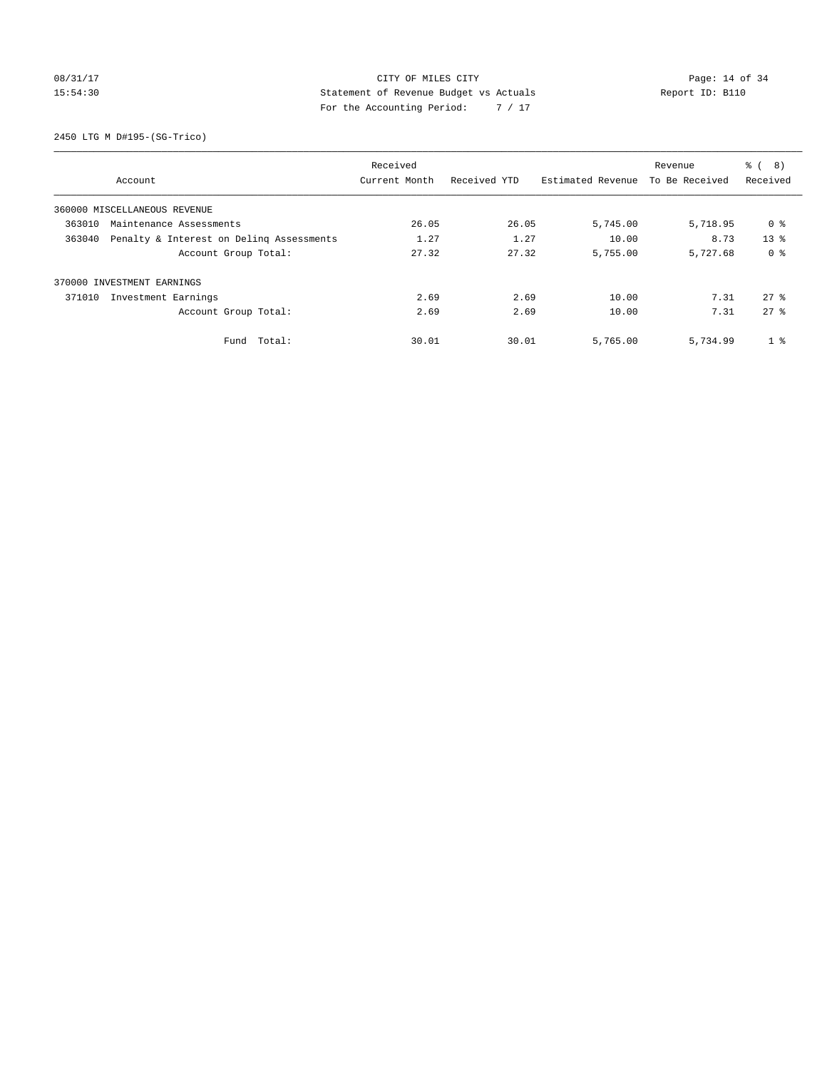### 08/31/17 Page: 14 of 34 15:54:30 Statement of Revenue Budget vs Actuals Report ID: B110 For the Accounting Period: 7 / 17

2450 LTG M D#195-(SG-Trico)

|        |                                          | Received      |              |                   | Revenue        | $\frac{6}{6}$<br>8) |
|--------|------------------------------------------|---------------|--------------|-------------------|----------------|---------------------|
|        | Account                                  | Current Month | Received YTD | Estimated Revenue | To Be Received | Received            |
|        | 360000 MISCELLANEOUS REVENUE             |               |              |                   |                |                     |
| 363010 | Maintenance Assessments                  | 26.05         | 26.05        | 5,745.00          | 5,718.95       | 0 %                 |
| 363040 | Penalty & Interest on Delinq Assessments | 1.27          | 1.27         | 10.00             | 8.73           | 13 <sup>8</sup>     |
|        | Account Group Total:                     | 27.32         | 27.32        | 5,755.00          | 5,727.68       | 0 <sup>8</sup>      |
|        | 370000 INVESTMENT EARNINGS               |               |              |                   |                |                     |
| 371010 | Investment Earnings                      | 2.69          | 2.69         | 10.00             | 7.31           | $27$ $%$            |
|        | Account Group Total:                     | 2.69          | 2.69         | 10.00             | 7.31           | $27$ $%$            |
|        | Fund Total:                              | 30.01         | 30.01        | 5,765.00          | 5,734.99       | 1 <sup>8</sup>      |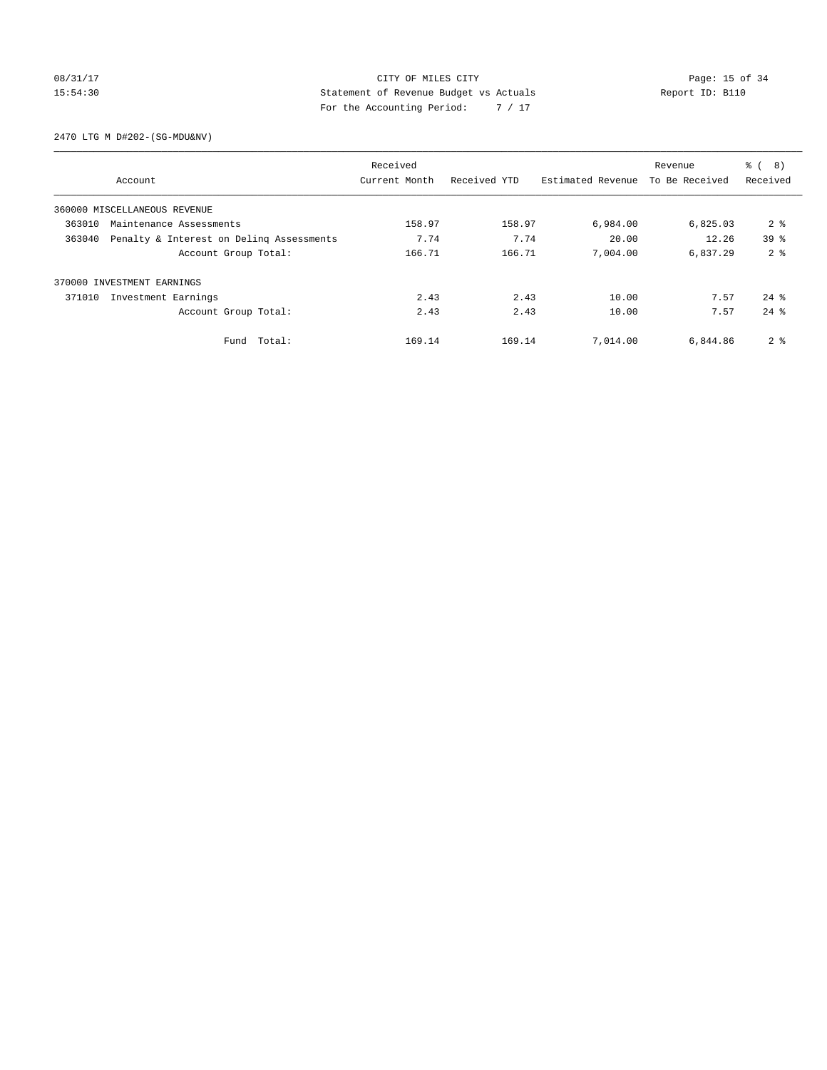### 08/31/17 Page: 15 of 34 15:54:30 Statement of Revenue Budget vs Actuals Report ID: B110 For the Accounting Period: 7 / 17

2470 LTG M D#202-(SG-MDU&NV)

|        |                                          | Received      |              |                   | Revenue        | $\frac{6}{6}$<br>8) |
|--------|------------------------------------------|---------------|--------------|-------------------|----------------|---------------------|
|        | Account                                  | Current Month | Received YTD | Estimated Revenue | To Be Received | Received            |
|        | 360000 MISCELLANEOUS REVENUE             |               |              |                   |                |                     |
| 363010 | Maintenance Assessments                  | 158.97        | 158.97       | 6,984.00          | 6,825.03       | 2 <sup>8</sup>      |
| 363040 | Penalty & Interest on Deling Assessments | 7.74          | 7.74         | 20.00             | 12.26          | 39 <sup>8</sup>     |
|        | Account Group Total:                     | 166.71        | 166.71       | 7,004.00          | 6,837.29       | 2 <sup>8</sup>      |
|        | 370000 INVESTMENT EARNINGS               |               |              |                   |                |                     |
| 371010 | Investment Earnings                      | 2.43          | 2.43         | 10.00             | 7.57           | $24$ $%$            |
|        | Account Group Total:                     | 2.43          | 2.43         | 10.00             | 7.57           | $24$ $%$            |
|        | Fund Total:                              | 169.14        | 169.14       | 7,014.00          | 6,844.86       | 2 <sup>8</sup>      |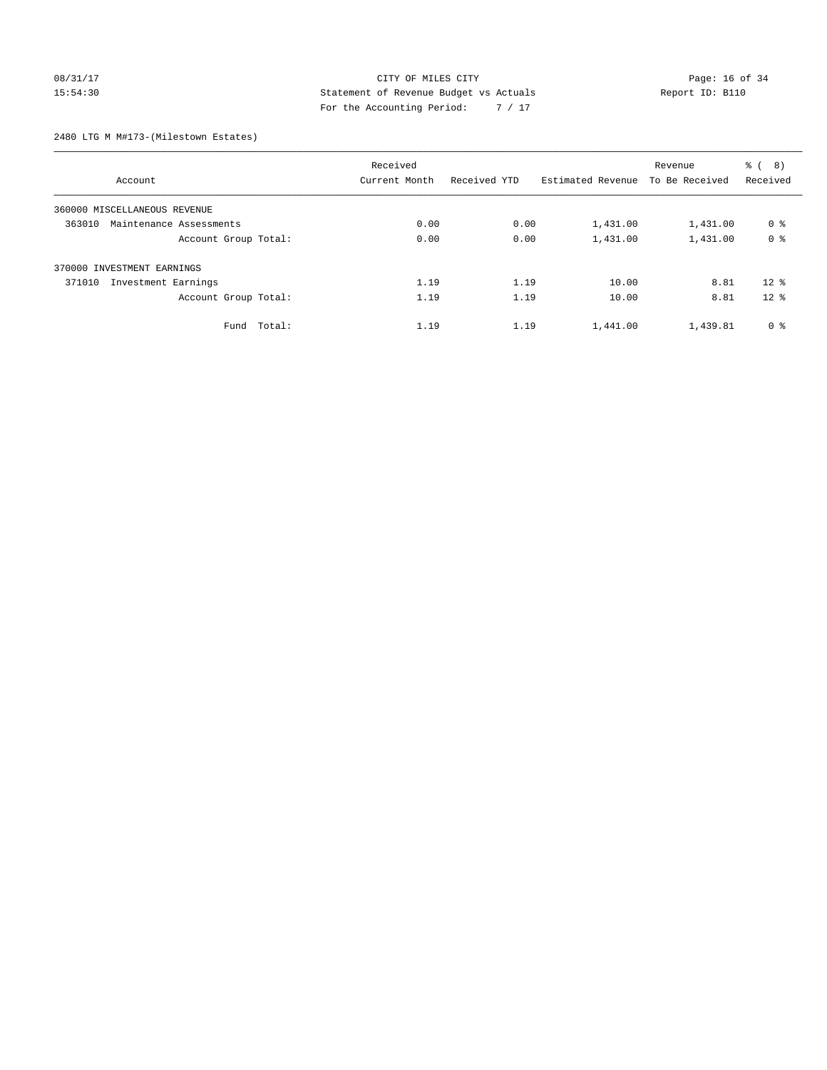### 08/31/17 Page: 16 of 34 15:54:30 Statement of Revenue Budget vs Actuals Report ID: B110 For the Accounting Period: 7 / 17

2480 LTG M M#173-(Milestown Estates)

| Account                           | Received<br>Current Month | Received YTD | Estimated Revenue | Revenue<br>To Be Received | 8)<br>る (<br>Received |
|-----------------------------------|---------------------------|--------------|-------------------|---------------------------|-----------------------|
| 360000 MISCELLANEOUS REVENUE      |                           |              |                   |                           |                       |
| 363010<br>Maintenance Assessments | 0.00                      | 0.00         | 1,431.00          | 1,431.00                  | 0 <sup>8</sup>        |
| Account Group Total:              | 0.00                      | 0.00         | 1,431.00          | 1,431.00                  | 0 <sup>8</sup>        |
| 370000 INVESTMENT EARNINGS        |                           |              |                   |                           |                       |
| 371010<br>Investment Earnings     | 1.19                      | 1.19         | 10.00             | 8.81                      | $12*$                 |
| Account Group Total:              | 1.19                      | 1.19         | 10.00             | 8.81                      | $12*$                 |
| Fund Total:                       | 1.19                      | 1.19         | 1,441.00          | 1,439.81                  | 0 <sup>8</sup>        |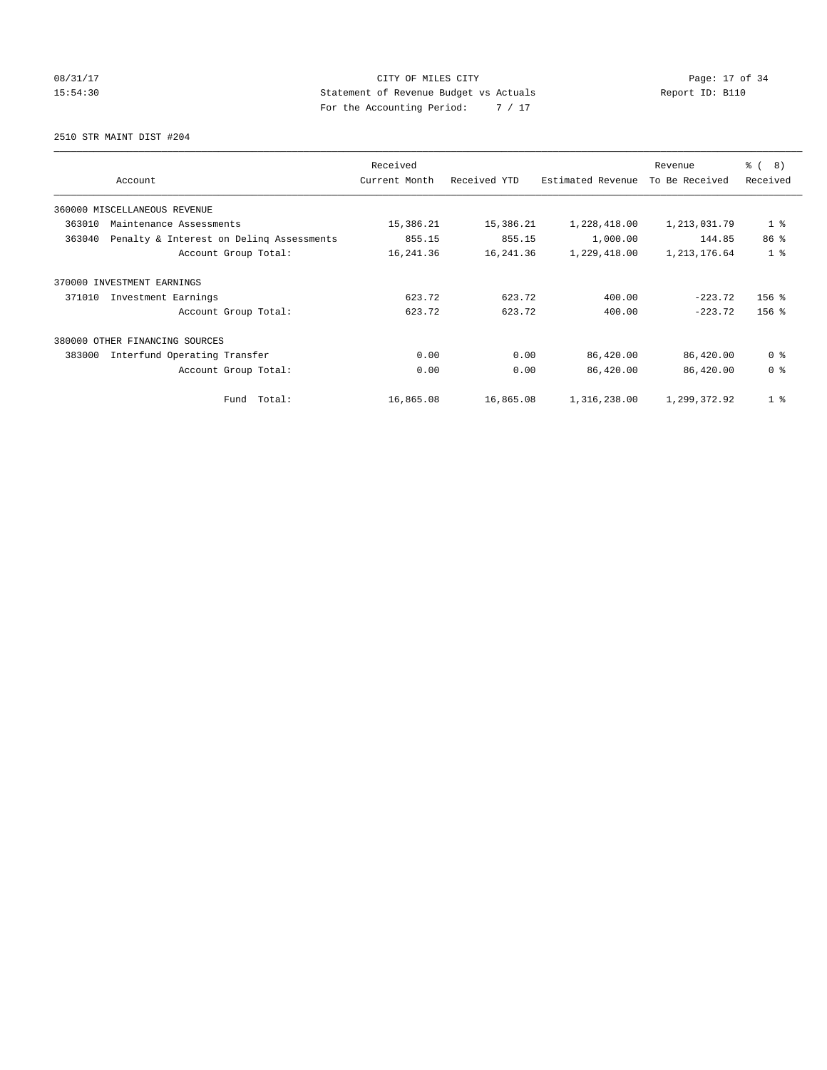08/31/17 Page: 17 of 34 15:54:30 Statement of Revenue Budget vs Actuals Report ID: B110 For the Accounting Period: 7 / 17

2510 STR MAINT DIST #204

| Account                                            | Received<br>Current Month | Received YTD | Estimated Revenue | Revenue<br>To Be Received | $\frac{6}{6}$ ( 8)<br>Received |
|----------------------------------------------------|---------------------------|--------------|-------------------|---------------------------|--------------------------------|
| 360000 MISCELLANEOUS REVENUE                       |                           |              |                   |                           |                                |
| 363010<br>Maintenance Assessments                  | 15,386.21                 | 15,386.21    | 1,228,418.00      | 1,213,031.79              | 1 <sup>°</sup>                 |
| Penalty & Interest on Deling Assessments<br>363040 | 855.15                    | 855.15       | 1,000.00          | 144.85                    | 86 <sup>8</sup>                |
| Account Group Total:                               | 16,241.36                 | 16,241.36    | 1,229,418.00      | 1,213,176.64              | 1 <sup>8</sup>                 |
| 370000<br>INVESTMENT EARNINGS                      |                           |              |                   |                           |                                |
| 371010<br>Investment Earnings                      | 623.72                    | 623.72       | 400.00            | $-223.72$                 | $156$ %                        |
| Account Group Total:                               | 623.72                    | 623.72       | 400.00            | $-223.72$                 | $156$ %                        |
| 380000 OTHER FINANCING SOURCES                     |                           |              |                   |                           |                                |
| 383000<br>Interfund Operating Transfer             | 0.00                      | 0.00         | 86,420.00         | 86,420.00                 | 0 <sup>8</sup>                 |
| Account Group Total:                               | 0.00                      | 0.00         | 86,420.00         | 86,420.00                 | 0 <sup>8</sup>                 |
| Total:<br>Fund                                     | 16,865.08                 | 16,865.08    | 1,316,238.00      | 1,299,372.92              | 1 <sup>8</sup>                 |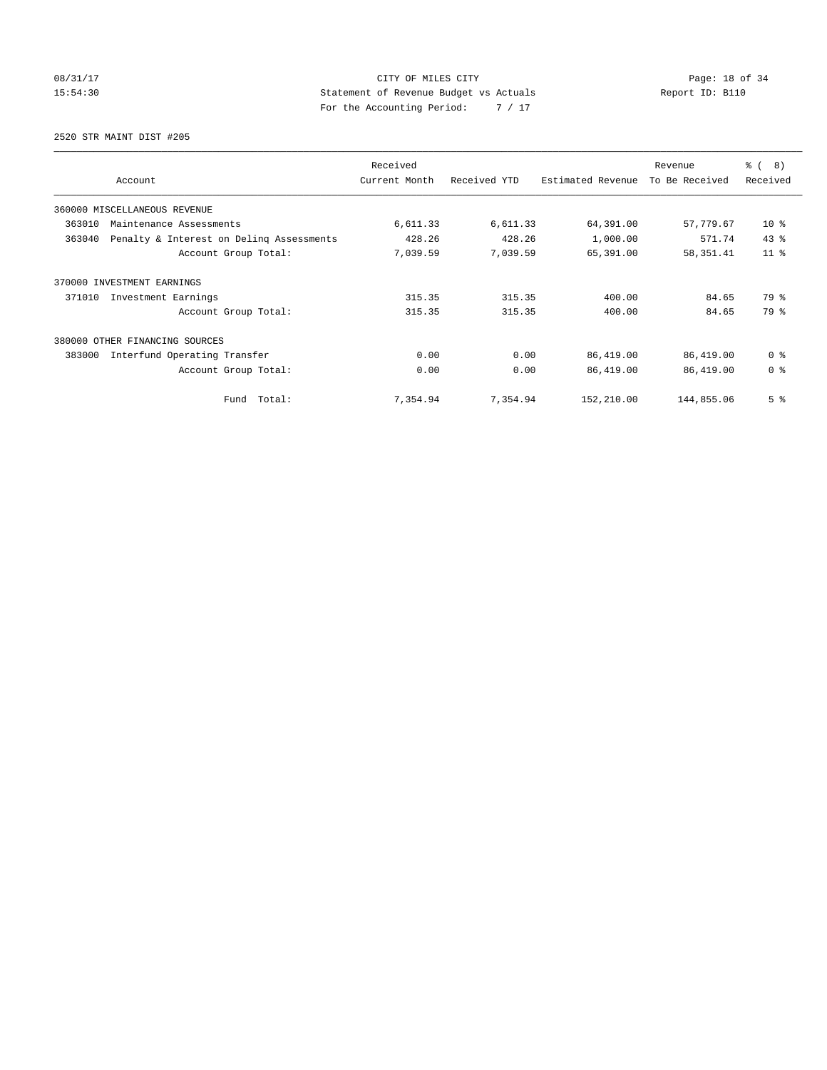08/31/17 Page: 18 of 34 15:54:30 Statement of Revenue Budget vs Actuals Report ID: B110 For the Accounting Period: 7 / 17

2520 STR MAINT DIST #205

|                                                    | Received      |              |                   | Revenue        | $\frac{6}{6}$ ( 8) |
|----------------------------------------------------|---------------|--------------|-------------------|----------------|--------------------|
| Account                                            | Current Month | Received YTD | Estimated Revenue | To Be Received | Received           |
| 360000 MISCELLANEOUS REVENUE                       |               |              |                   |                |                    |
| 363010<br>Maintenance Assessments                  | 6,611.33      | 6,611.33     | 64,391.00         | 57,779.67      | $10*$              |
| 363040<br>Penalty & Interest on Deling Assessments | 428.26        | 428.26       | 1,000.00          | 571.74         | 43%                |
| Account Group Total:                               | 7,039.59      | 7,039.59     | 65,391.00         | 58, 351.41     | $11$ %             |
| 370000<br>INVESTMENT EARNINGS                      |               |              |                   |                |                    |
| 371010<br>Investment Earnings                      | 315.35        | 315.35       | 400.00            | 84.65          | 79 %               |
| Account Group Total:                               | 315.35        | 315.35       | 400.00            | 84.65          | 79 %               |
| 380000 OTHER FINANCING SOURCES                     |               |              |                   |                |                    |
| Interfund Operating Transfer<br>383000             | 0.00          | 0.00         | 86,419.00         | 86,419.00      | 0 <sup>8</sup>     |
| Account Group Total:                               | 0.00          | 0.00         | 86,419.00         | 86,419.00      | 0 <sup>8</sup>     |
| Fund Total:                                        | 7,354.94      | 7,354.94     | 152,210.00        | 144,855.06     | 5 <sup>8</sup>     |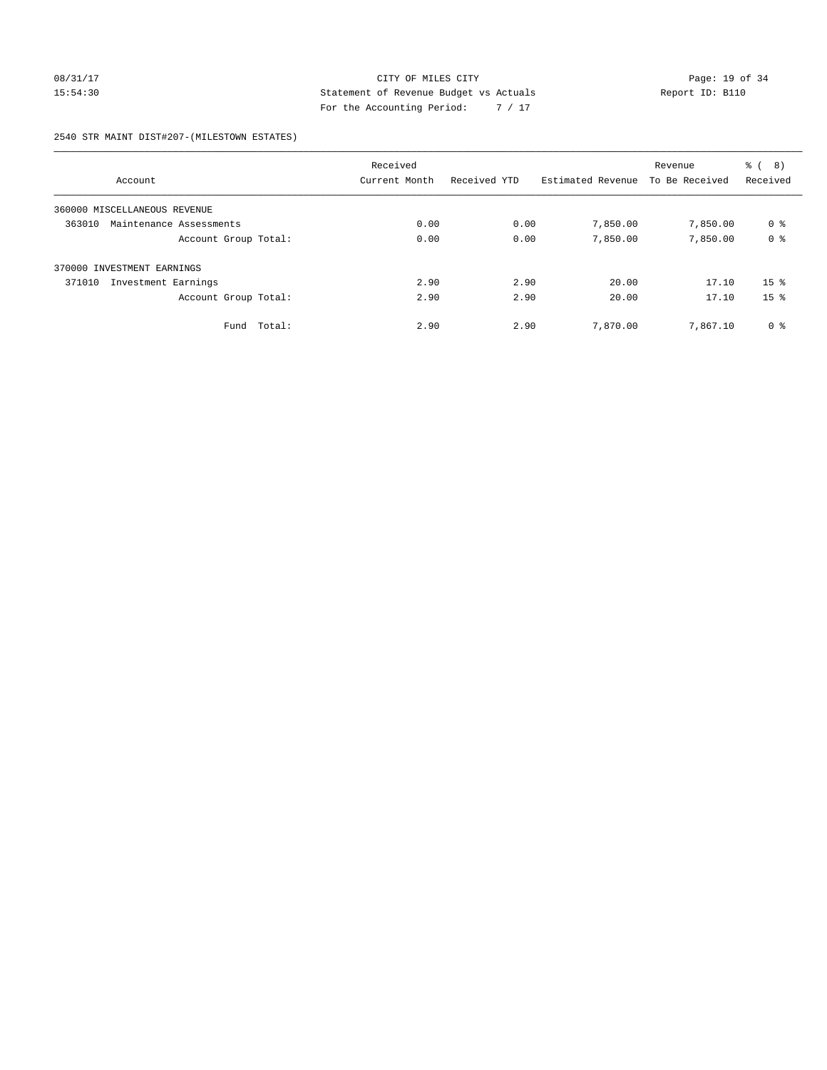### 08/31/17 Page: 19 of 34 15:54:30 Statement of Revenue Budget vs Actuals Report ID: B110 For the Accounting Period: 7 / 17

### 2540 STR MAINT DIST#207-(MILESTOWN ESTATES)

| Account                           | Received<br>Current Month | Received YTD | Estimated Revenue | Revenue<br>To Be Received | る (<br>8)<br>Received |
|-----------------------------------|---------------------------|--------------|-------------------|---------------------------|-----------------------|
|                                   |                           |              |                   |                           |                       |
| 360000 MISCELLANEOUS REVENUE      |                           |              |                   |                           |                       |
| 363010<br>Maintenance Assessments | 0.00                      | 0.00         | 7,850.00          | 7,850.00                  | 0 %                   |
| Account Group Total:              | 0.00                      | 0.00         | 7,850.00          | 7,850.00                  | 0 <sup>8</sup>        |
| 370000 INVESTMENT EARNINGS        |                           |              |                   |                           |                       |
| Investment Earnings<br>371010     | 2.90                      | 2.90         | 20.00             | 17.10                     | 15 <sup>8</sup>       |
| Account Group Total:              | 2.90                      | 2.90         | 20.00             | 17.10                     | 15 <sup>8</sup>       |
| Total:<br>Fund                    | 2.90                      | 2.90         | 7,870.00          | 7,867.10                  | 0 <sup>8</sup>        |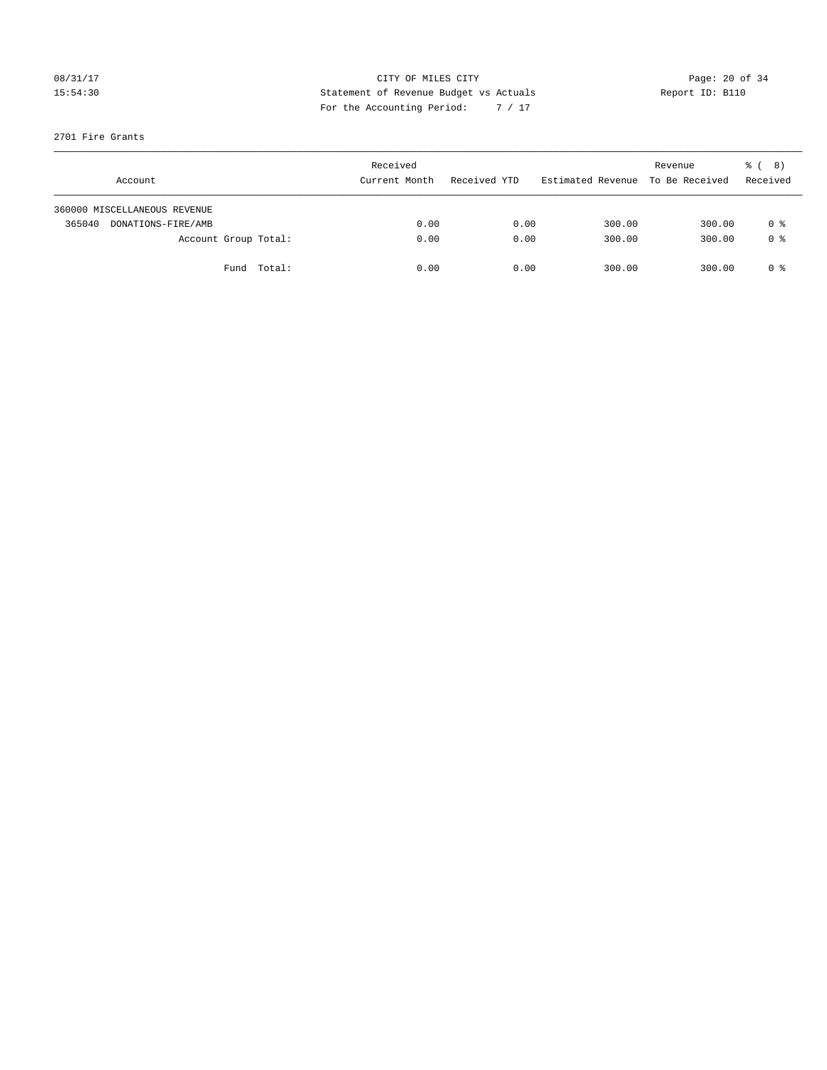## 08/31/17 Page: 20 of 34 15:54:30 Statement of Revenue Budget vs Actuals Report ID: B110 For the Accounting Period: 7 / 17

### 2701 Fire Grants

|        | Account                      |             | Received<br>Current Month | Received YTD | Estimated Revenue | Revenue<br>To Be Received | $\frac{6}{6}$ ( 8)<br>Received |
|--------|------------------------------|-------------|---------------------------|--------------|-------------------|---------------------------|--------------------------------|
|        | 360000 MISCELLANEOUS REVENUE |             |                           |              |                   |                           |                                |
| 365040 | DONATIONS-FIRE/AMB           |             | 0.00                      | 0.00         | 300.00            | 300.00                    | 0 %                            |
|        | Account Group Total:         |             | 0.00                      | 0.00         | 300.00            | 300.00                    | 0 <sup>8</sup>                 |
|        |                              | Fund Total: | 0.00                      | 0.00         | 300.00            | 300.00                    | 0 %                            |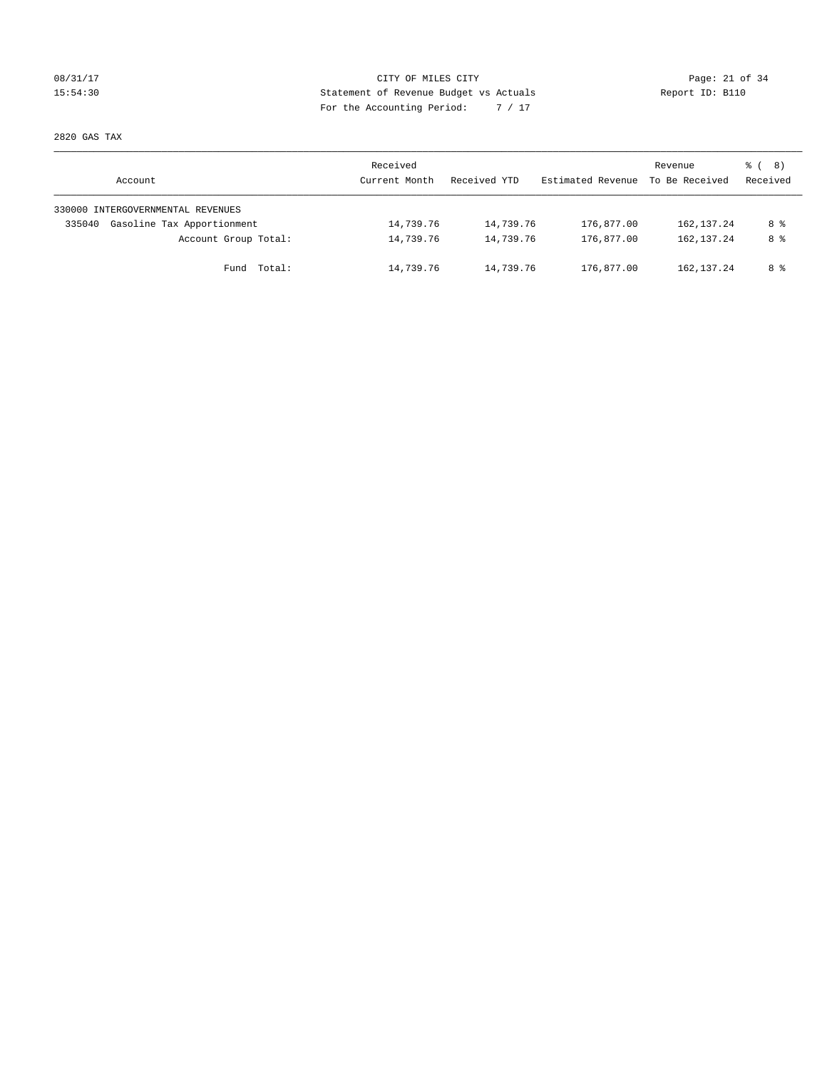### 08/31/17 Page: 21 of 34 15:54:30 Statement of Revenue Budget vs Actuals Report ID: B110 For the Accounting Period: 7 / 17

2820 GAS TAX

| Account                              | Received<br>Current Month | Received YTD | Estimated Revenue | Revenue<br>To Be Received | $\frac{6}{6}$ ( 8)<br>Received |
|--------------------------------------|---------------------------|--------------|-------------------|---------------------------|--------------------------------|
| 330000 INTERGOVERNMENTAL REVENUES    |                           |              |                   |                           |                                |
| Gasoline Tax Apportionment<br>335040 | 14,739.76                 | 14,739.76    | 176,877.00        | 162, 137.24               | 8 %                            |
| Account Group Total:                 | 14,739.76                 | 14,739.76    | 176,877.00        | 162, 137.24               | 8 %                            |
| Fund Total:                          | 14,739.76                 | 14,739.76    | 176,877.00        | 162, 137.24               | 8 %                            |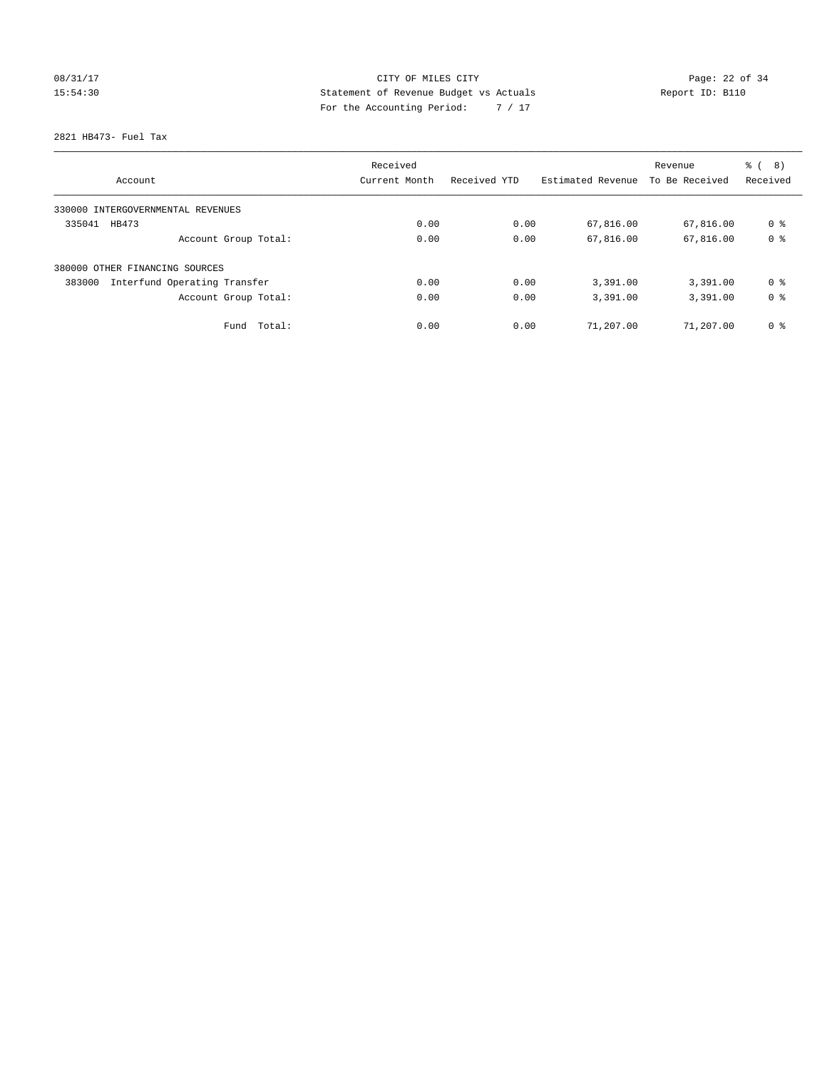## 08/31/17 Page: 22 of 34 15:54:30 Statement of Revenue Budget vs Actuals Report ID: B110 For the Accounting Period: 7 / 17

2821 HB473- Fuel Tax

| Account                                | Received<br>Current Month | Received YTD | Estimated Revenue | Revenue<br>To Be Received | る (<br>8)<br>Received |
|----------------------------------------|---------------------------|--------------|-------------------|---------------------------|-----------------------|
| 330000 INTERGOVERNMENTAL REVENUES      |                           |              |                   |                           |                       |
| 335041<br>HB473                        | 0.00                      | 0.00         | 67,816.00         | 67,816.00                 | 0 <sup>8</sup>        |
| Account Group Total:                   | 0.00                      | 0.00         | 67,816.00         | 67,816.00                 | 0 <sup>8</sup>        |
| 380000 OTHER FINANCING SOURCES         |                           |              |                   |                           |                       |
| Interfund Operating Transfer<br>383000 | 0.00                      | 0.00         | 3,391.00          | 3,391.00                  | 0 ક                   |
| Account Group Total:                   | 0.00                      | 0.00         | 3,391.00          | 3,391.00                  | 0 <sup>8</sup>        |
| Total:<br>Fund                         | 0.00                      | 0.00         | 71,207.00         | 71,207.00                 | 0 <sup>8</sup>        |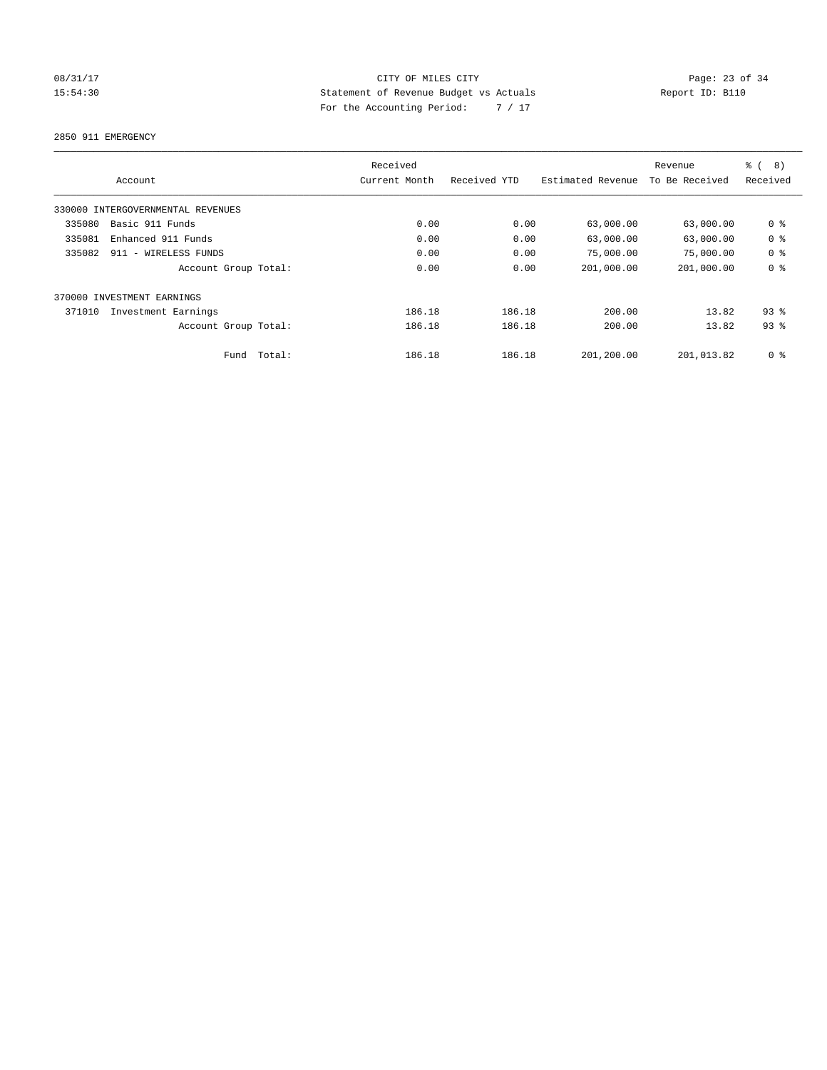## 08/31/17 Page: 23 of 34 15:54:30 Statement of Revenue Budget vs Actuals Report ID: B110 For the Accounting Period: 7 / 17

2850 911 EMERGENCY

|        |                                   |        | Received      |              |                   | Revenue        | $\frac{6}{6}$<br>8) |
|--------|-----------------------------------|--------|---------------|--------------|-------------------|----------------|---------------------|
|        | Account                           |        | Current Month | Received YTD | Estimated Revenue | To Be Received | Received            |
|        | 330000 INTERGOVERNMENTAL REVENUES |        |               |              |                   |                |                     |
| 335080 | Basic 911 Funds                   |        | 0.00          | 0.00         | 63,000.00         | 63,000.00      | 0 <sup>8</sup>      |
| 335081 | Enhanced 911 Funds                |        | 0.00          | 0.00         | 63,000.00         | 63,000.00      | 0 <sup>8</sup>      |
| 335082 | 911 - WIRELESS FUNDS              |        | 0.00          | 0.00         | 75,000.00         | 75,000.00      | 0 <sup>8</sup>      |
|        | Account Group Total:              |        | 0.00          | 0.00         | 201,000.00        | 201,000.00     | 0 <sup>8</sup>      |
|        | 370000 INVESTMENT EARNINGS        |        |               |              |                   |                |                     |
| 371010 | Investment Earnings               |        | 186.18        | 186.18       | 200.00            | 13.82          | $93$ $%$            |
|        | Account Group Total:              |        | 186.18        | 186.18       | 200.00            | 13.82          | $93$ $%$            |
|        | Fund                              | Total: | 186.18        | 186.18       | 201,200.00        | 201,013.82     | 0 <sup>8</sup>      |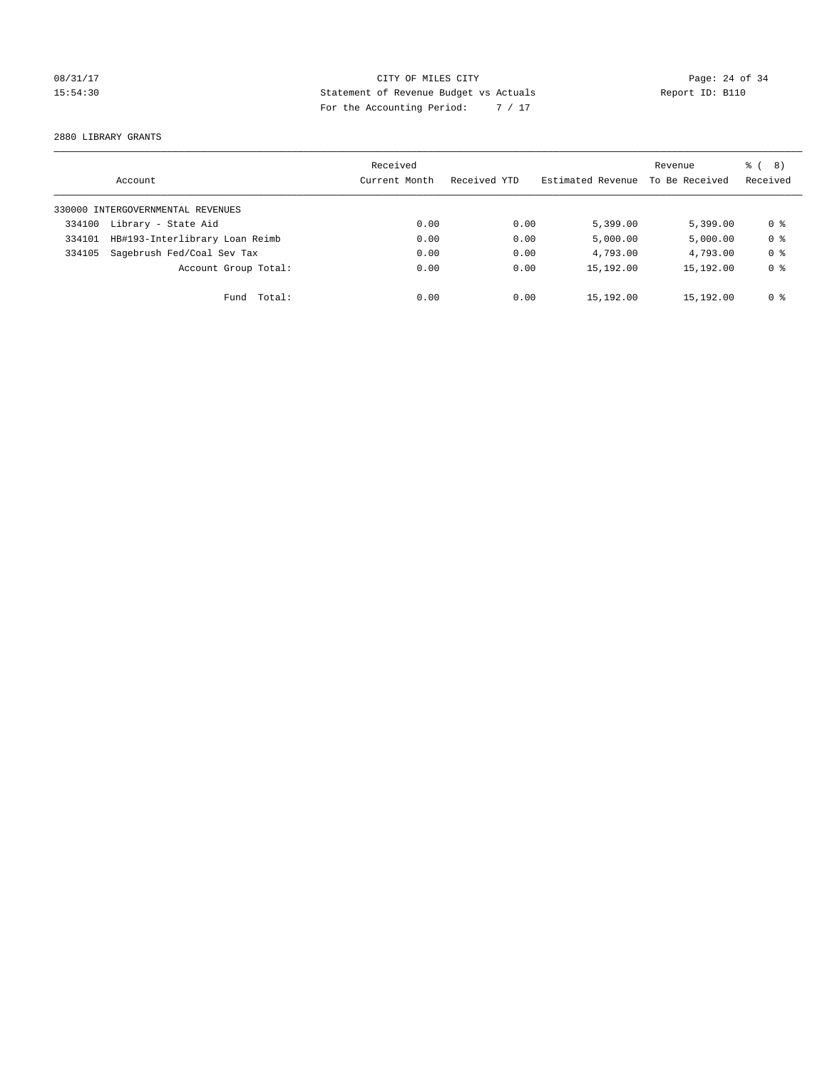## 08/31/17 Page: 24 of 34 15:54:30 Statement of Revenue Budget vs Actuals Report ID: B110 For the Accounting Period: 7 / 17

2880 LIBRARY GRANTS

|        | Account                           | Received<br>Current Month | Received YTD | Estimated Revenue | Revenue<br>To Be Received | $\frac{6}{6}$ ( 8)<br>Received |
|--------|-----------------------------------|---------------------------|--------------|-------------------|---------------------------|--------------------------------|
|        | 330000 INTERGOVERNMENTAL REVENUES |                           |              |                   |                           |                                |
| 334100 | Library - State Aid               | 0.00                      | 0.00         | 5,399.00          | 5.399.00                  | 0 %                            |
| 334101 | HB#193-Interlibrary Loan Reimb    | 0.00                      | 0.00         | 5,000.00          | 5,000.00                  | 0 <sup>8</sup>                 |
| 334105 | Sagebrush Fed/Coal Sev Tax        | 0.00                      | 0.00         | 4,793.00          | 4,793.00                  | 0 <sup>8</sup>                 |
|        | Account Group Total:              | 0.00                      | 0.00         | 15,192.00         | 15,192.00                 | 0 <sup>8</sup>                 |
|        | Fund Total:                       | 0.00                      | 0.00         | 15,192.00         | 15,192.00                 | 0 %                            |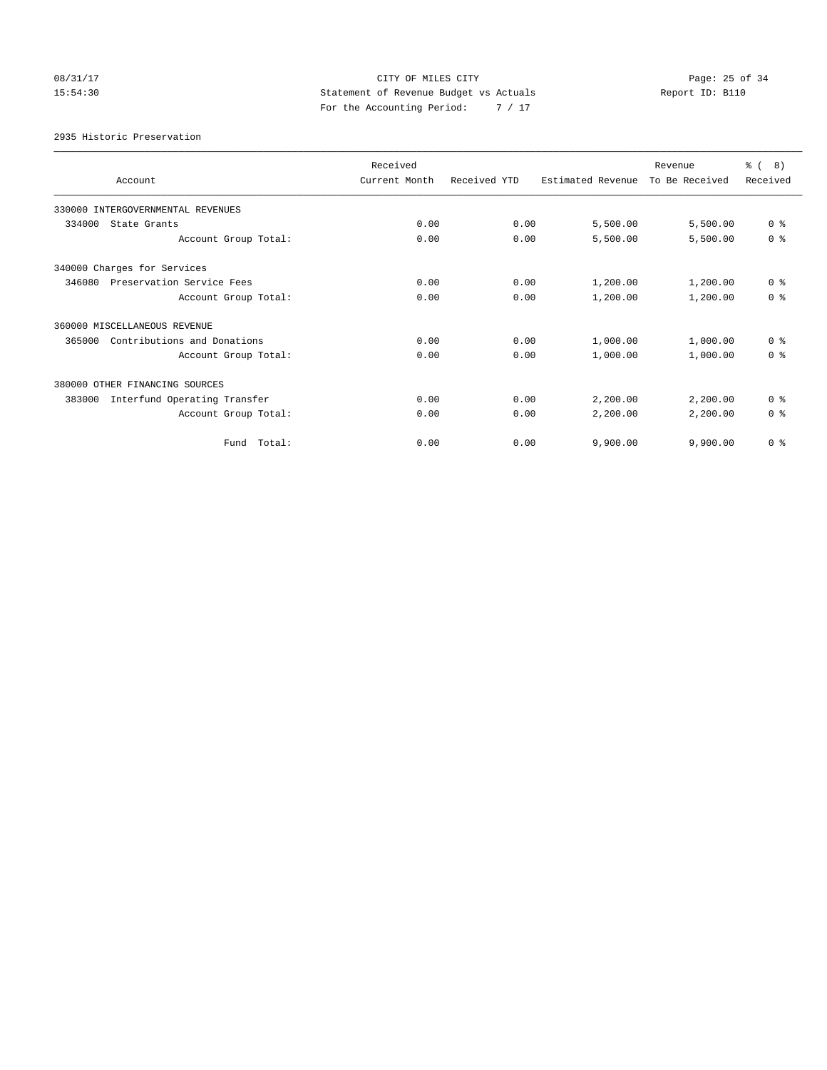## 08/31/17 Page: 25 of 34 15:54:30 Statement of Revenue Budget vs Actuals Report ID: B110 For the Accounting Period: 7 / 17

2935 Historic Preservation

|                                        | Received      |              |                   | Revenue        | ී (<br>8)      |
|----------------------------------------|---------------|--------------|-------------------|----------------|----------------|
| Account                                | Current Month | Received YTD | Estimated Revenue | To Be Received | Received       |
| 330000 INTERGOVERNMENTAL REVENUES      |               |              |                   |                |                |
| 334000<br>State Grants                 | 0.00          | 0.00         | 5,500.00          | 5,500.00       | 0 <sup>8</sup> |
| Account Group Total:                   | 0.00          | 0.00         | 5,500.00          | 5,500.00       | 0 <sup>8</sup> |
| 340000 Charges for Services            |               |              |                   |                |                |
| Preservation Service Fees<br>346080    | 0.00          | 0.00         | 1,200.00          | 1,200.00       | 0 <sup>8</sup> |
| Account Group Total:                   | 0.00          | 0.00         | 1,200.00          | 1,200.00       | 0 <sup>8</sup> |
| 360000 MISCELLANEOUS REVENUE           |               |              |                   |                |                |
| Contributions and Donations<br>365000  | 0.00          | 0.00         | 1,000.00          | 1,000.00       | 0 <sup>8</sup> |
| Account Group Total:                   | 0.00          | 0.00         | 1,000.00          | 1,000.00       | 0 <sup>8</sup> |
| 380000 OTHER FINANCING SOURCES         |               |              |                   |                |                |
| Interfund Operating Transfer<br>383000 | 0.00          | 0.00         | 2,200.00          | 2,200.00       | 0 <sup>8</sup> |
| Account Group Total:                   | 0.00          | 0.00         | 2,200.00          | 2,200.00       | 0 <sup>8</sup> |
| Total:<br>Fund                         | 0.00          | 0.00         | 9,900.00          | 9,900.00       | 0 <sup>8</sup> |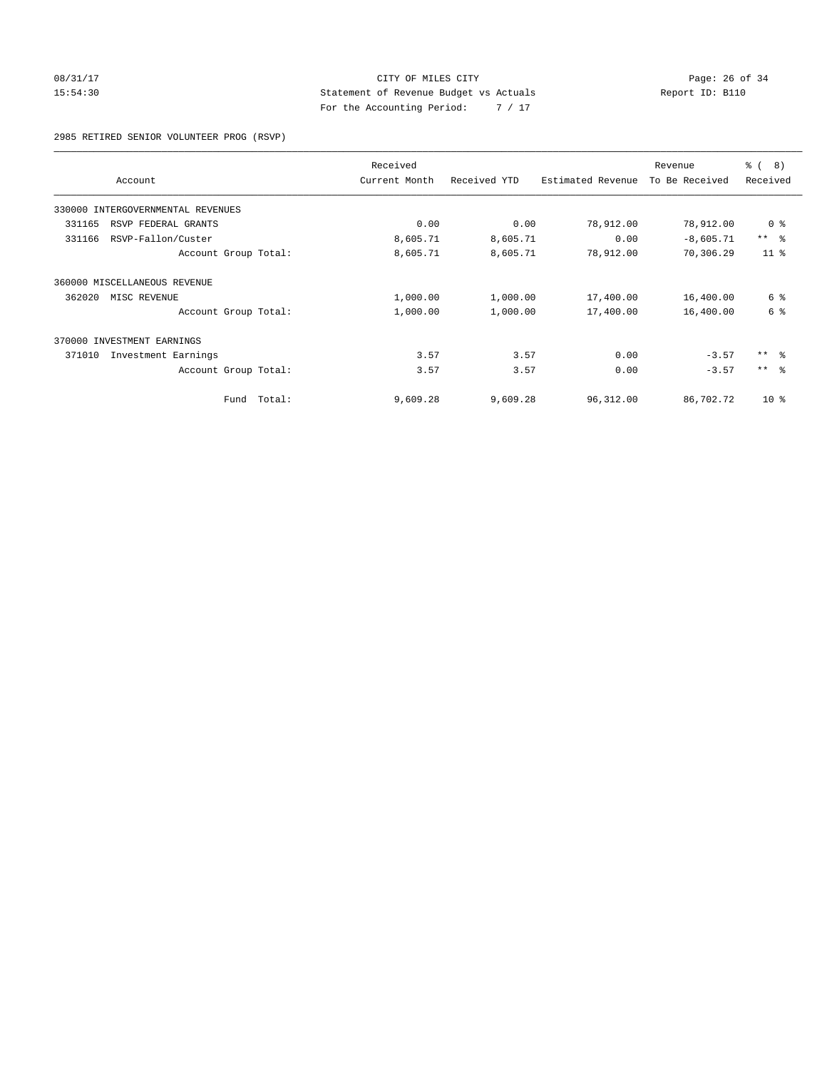### 08/31/17 Page: 26 of 34 15:54:30 Statement of Revenue Budget vs Actuals Report ID: B110 For the Accounting Period: 7 / 17

2985 RETIRED SENIOR VOLUNTEER PROG (RSVP)

| Account                           |        | Received<br>Current Month | Received YTD | Estimated Revenue | Revenue<br>To Be Received | ී (<br>8)<br>Received |
|-----------------------------------|--------|---------------------------|--------------|-------------------|---------------------------|-----------------------|
| 330000 INTERGOVERNMENTAL REVENUES |        |                           |              |                   |                           |                       |
| 331165<br>RSVP FEDERAL GRANTS     |        | 0.00                      | 0.00         | 78,912.00         | 78,912.00                 | 0 <sup>8</sup>        |
| RSVP-Fallon/Custer<br>331166      |        | 8,605.71                  | 8,605.71     | 0.00              | $-8,605.71$               | $***$ $ -$            |
| Account Group Total:              |        | 8,605.71                  | 8,605.71     | 78,912.00         | 70,306.29                 | 11 <sup>8</sup>       |
| 360000 MISCELLANEOUS REVENUE      |        |                           |              |                   |                           |                       |
| 362020<br>MISC REVENUE            |        | 1,000.00                  | 1,000.00     | 17,400.00         | 16,400.00                 | 6 %                   |
| Account Group Total:              |        | 1,000.00                  | 1,000.00     | 17,400.00         | 16,400.00                 | 6 %                   |
| 370000 INVESTMENT EARNINGS        |        |                           |              |                   |                           |                       |
| 371010<br>Investment Earnings     |        | 3.57                      | 3.57         | 0.00              | $-3.57$                   | $***$ $\approx$       |
| Account Group Total:              |        | 3.57                      | 3.57         | 0.00              | $-3.57$                   | $***$ $ -$            |
| Fund                              | Total: | 9,609.28                  | 9,609.28     | 96,312.00         | 86,702.72                 | $10*$                 |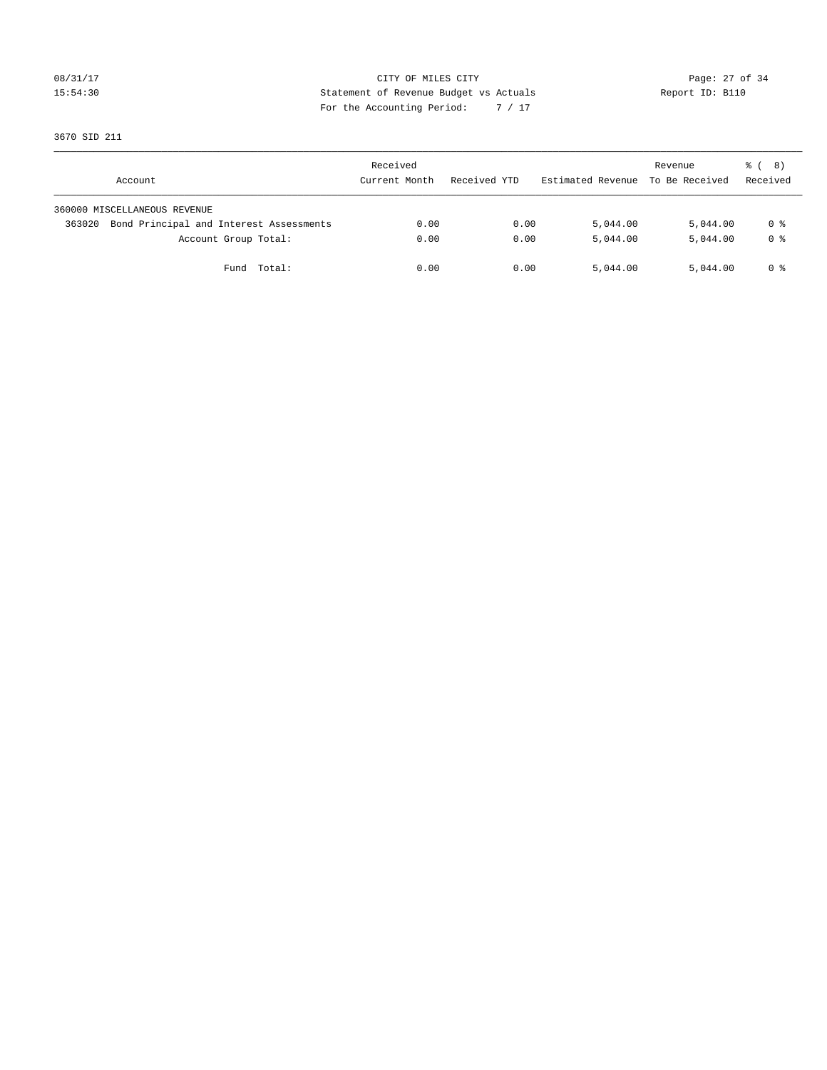### 08/31/17 Page: 27 of 34 15:54:30 Statement of Revenue Budget vs Actuals Report ID: B110 For the Accounting Period: 7 / 17

3670 SID 211

| Account                                           | Received<br>Current Month | Received YTD | Estimated Revenue | Revenue<br>To Be Received | $\frac{6}{6}$ ( 8)<br>Received |
|---------------------------------------------------|---------------------------|--------------|-------------------|---------------------------|--------------------------------|
| 360000 MISCELLANEOUS REVENUE                      |                           |              |                   |                           |                                |
| Bond Principal and Interest Assessments<br>363020 | 0.00                      | 0.00         | 5,044.00          | 5,044.00                  | 0 %                            |
| Account Group Total:                              | 0.00                      | 0.00         | 5,044.00          | 5,044.00                  | 0 <sup>8</sup>                 |
| Fund Total:                                       | 0.00                      | 0.00         | 5,044.00          | 5,044.00                  | 0 %                            |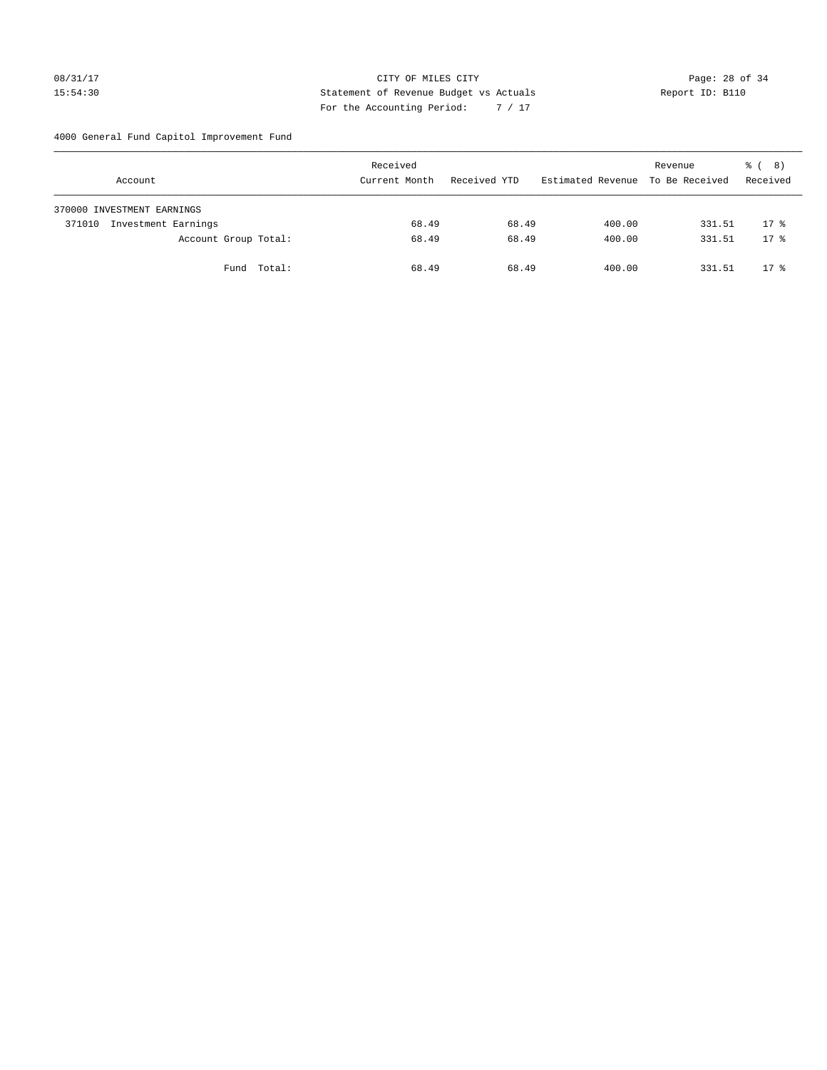### 08/31/17 Page: 28 of 34 15:54:30 Statement of Revenue Budget vs Actuals Report ID: B110 For the Accounting Period: 7 / 17

4000 General Fund Capitol Improvement Fund

| Account                       |                      | Received<br>Current Month | Received YTD | Estimated Revenue | Revenue<br>To Be Received | <sub>ර</sub> ි ( 8 )<br>Received |
|-------------------------------|----------------------|---------------------------|--------------|-------------------|---------------------------|----------------------------------|
| 370000 INVESTMENT EARNINGS    |                      |                           |              |                   |                           |                                  |
| Investment Earnings<br>371010 |                      | 68.49                     | 68.49        | 400.00            | 331.51                    | $17*$                            |
|                               | Account Group Total: | 68.49                     | 68.49        | 400.00            | 331.51                    | $17*$                            |
|                               | Fund Total:          | 68.49                     | 68.49        | 400.00            | 331.51                    | $17*$                            |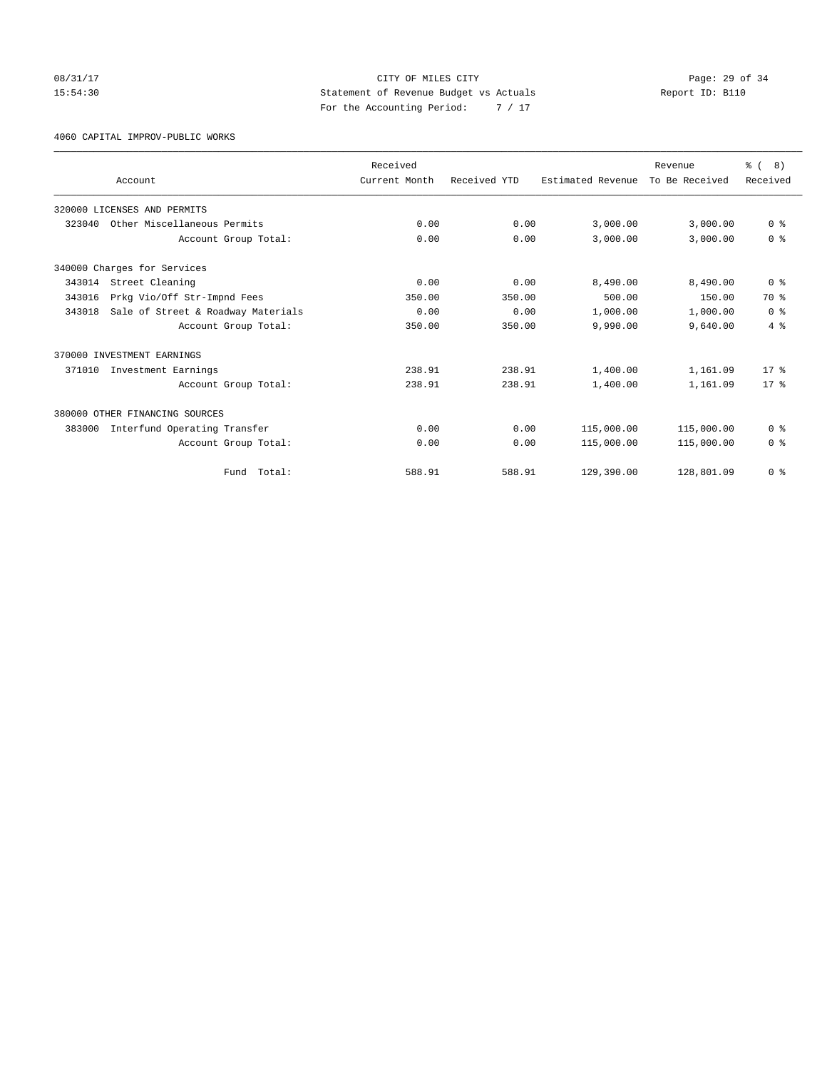08/31/17 Page: 29 of 34 15:54:30 Statement of Revenue Budget vs Actuals Report ID: B110 For the Accounting Period: 7 / 17

4060 CAPITAL IMPROV-PUBLIC WORKS

|        | Account                            | Received<br>Current Month | Received YTD | Estimated Revenue | Revenue<br>To Be Received | % (8)<br>Received |
|--------|------------------------------------|---------------------------|--------------|-------------------|---------------------------|-------------------|
|        |                                    |                           |              |                   |                           |                   |
|        | 320000 LICENSES AND PERMITS        |                           |              |                   |                           |                   |
| 323040 | Other Miscellaneous Permits        | 0.00                      | 0.00         | 3,000.00          | 3,000.00                  | 0 <sup>8</sup>    |
|        | Account Group Total:               | 0.00                      | 0.00         | 3.000.00          | 3,000.00                  | 0 <sup>8</sup>    |
|        | 340000 Charges for Services        |                           |              |                   |                           |                   |
| 343014 | Street Cleaning                    | 0.00                      | 0.00         | 8,490.00          | 8,490.00                  | 0 <sup>8</sup>    |
| 343016 | Prkg Vio/Off Str-Impnd Fees        | 350.00                    | 350.00       | 500.00            | 150.00                    | 70 %              |
| 343018 | Sale of Street & Roadway Materials | 0.00                      | 0.00         | 1,000.00          | 1,000.00                  | 0 <sup>8</sup>    |
|        | Account Group Total:               | 350.00                    | 350.00       | 9,990.00          | 9,640.00                  | $4\degree$        |
|        | 370000 INVESTMENT EARNINGS         |                           |              |                   |                           |                   |
| 371010 | Investment Earnings                | 238.91                    | 238.91       | 1,400.00          | 1,161.09                  | $17*$             |
|        | Account Group Total:               | 238.91                    | 238.91       | 1,400.00          | 1,161.09                  | $17*$             |
|        | 380000 OTHER FINANCING SOURCES     |                           |              |                   |                           |                   |
| 383000 | Interfund Operating Transfer       | 0.00                      | 0.00         | 115,000.00        | 115,000.00                | 0 <sup>8</sup>    |
|        | Account Group Total:               | 0.00                      | 0.00         | 115,000.00        | 115,000.00                | 0 <sup>8</sup>    |
|        | Total:<br>Fund                     | 588.91                    | 588.91       | 129,390.00        | 128,801.09                | 0 <sup>8</sup>    |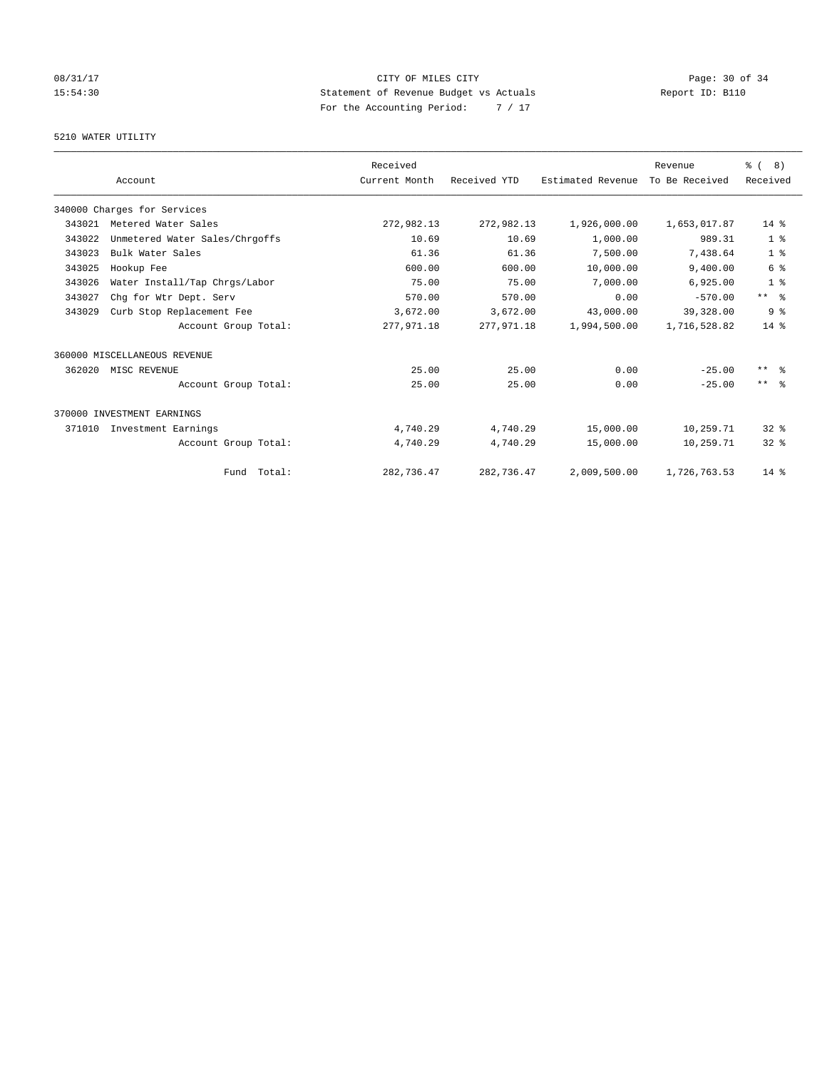## 08/31/17 Page: 30 of 34 15:54:30 Statement of Revenue Budget vs Actuals Report ID: B110 For the Accounting Period: 7 / 17

### 5210 WATER UTILITY

|        |                                | Received      |              |                   | Revenue        | $\frac{6}{6}$ ( 8)  |
|--------|--------------------------------|---------------|--------------|-------------------|----------------|---------------------|
|        | Account                        | Current Month | Received YTD | Estimated Revenue | To Be Received | Received            |
|        | 340000 Charges for Services    |               |              |                   |                |                     |
| 343021 | Metered Water Sales            | 272,982.13    | 272,982.13   | 1,926,000.00      | 1,653,017.87   | $14*$               |
| 343022 | Unmetered Water Sales/Chrgoffs | 10.69         | 10.69        | 1,000.00          | 989.31         | 1 <sup>8</sup>      |
| 343023 | Bulk Water Sales               | 61.36         | 61.36        | 7,500.00          | 7,438.64       | 1 <sup>8</sup>      |
| 343025 | Hookup Fee                     | 600.00        | 600.00       | 10,000.00         | 9,400.00       | 6 %                 |
| 343026 | Water Install/Tap Chrgs/Labor  | 75.00         | 75.00        | 7,000.00          | 6,925.00       | 1 <sup>8</sup>      |
| 343027 | Chg for Wtr Dept. Serv         | 570.00        | 570.00       | 0.00              | $-570.00$      | ** %                |
| 343029 | Curb Stop Replacement Fee      | 3,672.00      | 3,672.00     | 43,000.00         | 39,328.00      | 9 <sup>8</sup>      |
|        | Account Group Total:           | 277, 971.18   | 277,971.18   | 1,994,500.00      | 1,716,528.82   | $14*$               |
|        | 360000 MISCELLANEOUS REVENUE   |               |              |                   |                |                     |
| 362020 | MISC REVENUE                   | 25.00         | 25.00        | 0.00              | $-25.00$       | $***$ $\frac{6}{5}$ |
|        | Account Group Total:           | 25.00         | 25.00        | 0.00              | $-25.00$       | $***$ $  -$         |
|        | 370000 INVESTMENT EARNINGS     |               |              |                   |                |                     |
| 371010 | Investment Earnings            | 4,740.29      | 4,740.29     | 15,000.00         | 10,259.71      | $32*$               |
|        | Account Group Total:           | 4,740.29      | 4,740.29     | 15,000.00         | 10,259.71      | $32*$               |
|        | Fund Total:                    | 282,736.47    | 282,736.47   | 2,009,500.00      | 1,726,763.53   | $14*$               |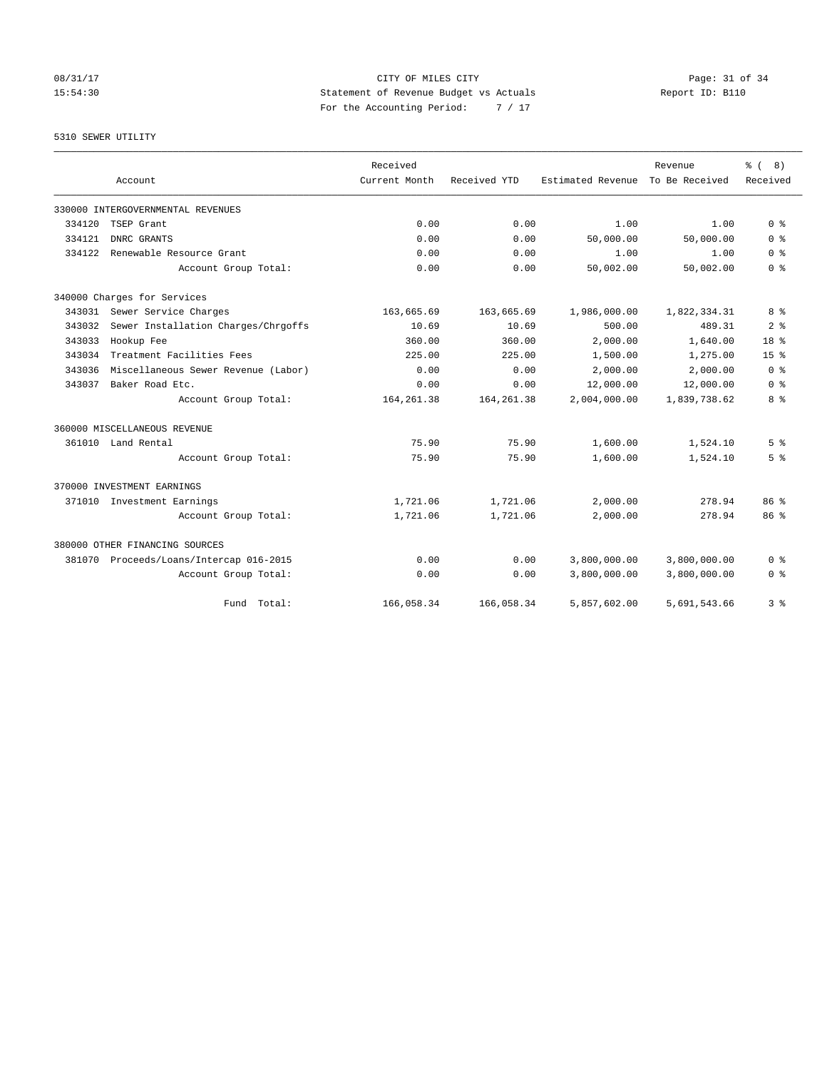08/31/17 Page: 31 of 34 15:54:30 Statement of Revenue Budget vs Actuals Report ID: B110 For the Accounting Period: 7 / 17

5310 SEWER UTILITY

|        | Account                                 | Received<br>Current Month | Received YTD | Estimated Revenue | Revenue<br>To Be Received | ී (<br>8)<br>Received |
|--------|-----------------------------------------|---------------------------|--------------|-------------------|---------------------------|-----------------------|
|        | 330000 INTERGOVERNMENTAL REVENUES       |                           |              |                   |                           |                       |
| 334120 | TSEP Grant                              | 0.00                      | 0.00         | 1.00              | 1.00                      | 0 <sup>8</sup>        |
| 334121 | DNRC GRANTS                             | 0.00                      | 0.00         | 50,000.00         | 50,000.00                 | 0 <sup>8</sup>        |
| 334122 | Renewable Resource Grant                | 0.00                      | 0.00         | 1.00              | 1.00                      | 0 <sup>8</sup>        |
|        | Account Group Total:                    | 0.00                      | 0.00         | 50,002.00         | 50,002.00                 | 0 <sup>8</sup>        |
|        | 340000 Charges for Services             |                           |              |                   |                           |                       |
| 343031 | Sewer Service Charges                   | 163,665.69                | 163,665.69   | 1,986,000.00      | 1,822,334.31              | 8 %                   |
| 343032 | Sewer Installation Charges/Chrgoffs     | 10.69                     | 10.69        | 500.00            | 489.31                    | 2 <sup>8</sup>        |
| 343033 | Hookup Fee                              | 360.00                    | 360.00       | 2,000.00          | 1,640.00                  | 18 <sup>8</sup>       |
| 343034 | Treatment Facilities Fees               | 225.00                    | 225.00       | 1,500.00          | 1,275.00                  | 15 <sup>8</sup>       |
| 343036 | Miscellaneous Sewer Revenue (Labor)     | 0.00                      | 0.00         | 2,000.00          | 2,000.00                  | 0 <sup>8</sup>        |
| 343037 | Baker Road Etc.                         | 0.00                      | 0.00         | 12,000.00         | 12,000.00                 | 0 <sup>8</sup>        |
|        | Account Group Total:                    | 164, 261.38               | 164, 261.38  | 2,004,000.00      | 1,839,738.62              | 8 %                   |
|        | 360000 MISCELLANEOUS REVENUE            |                           |              |                   |                           |                       |
|        | 361010 Land Rental                      | 75.90                     | 75.90        | 1,600.00          | 1,524.10                  | 5 <sup>8</sup>        |
|        | Account Group Total:                    | 75.90                     | 75.90        | 1,600.00          | 1,524.10                  | 5 <sup>8</sup>        |
|        | 370000 INVESTMENT EARNINGS              |                           |              |                   |                           |                       |
|        | 371010 Investment Earnings              | 1,721.06                  | 1,721.06     | 2,000.00          | 278.94                    | 86 <sup>8</sup>       |
|        | Account Group Total:                    | 1,721.06                  | 1,721.06     | 2,000.00          | 278.94                    | 86 <sup>8</sup>       |
|        | 380000 OTHER FINANCING SOURCES          |                           |              |                   |                           |                       |
|        | 381070 Proceeds/Loans/Intercap 016-2015 | 0.00                      | 0.00         | 3,800,000.00      | 3,800,000.00              | 0 <sup>8</sup>        |
|        | Account Group Total:                    | 0.00                      | 0.00         | 3,800,000.00      | 3,800,000.00              | 0 <sup>8</sup>        |
|        | Fund<br>Total:                          | 166,058.34                | 166,058.34   | 5,857,602.00      | 5,691,543.66              | 3 %                   |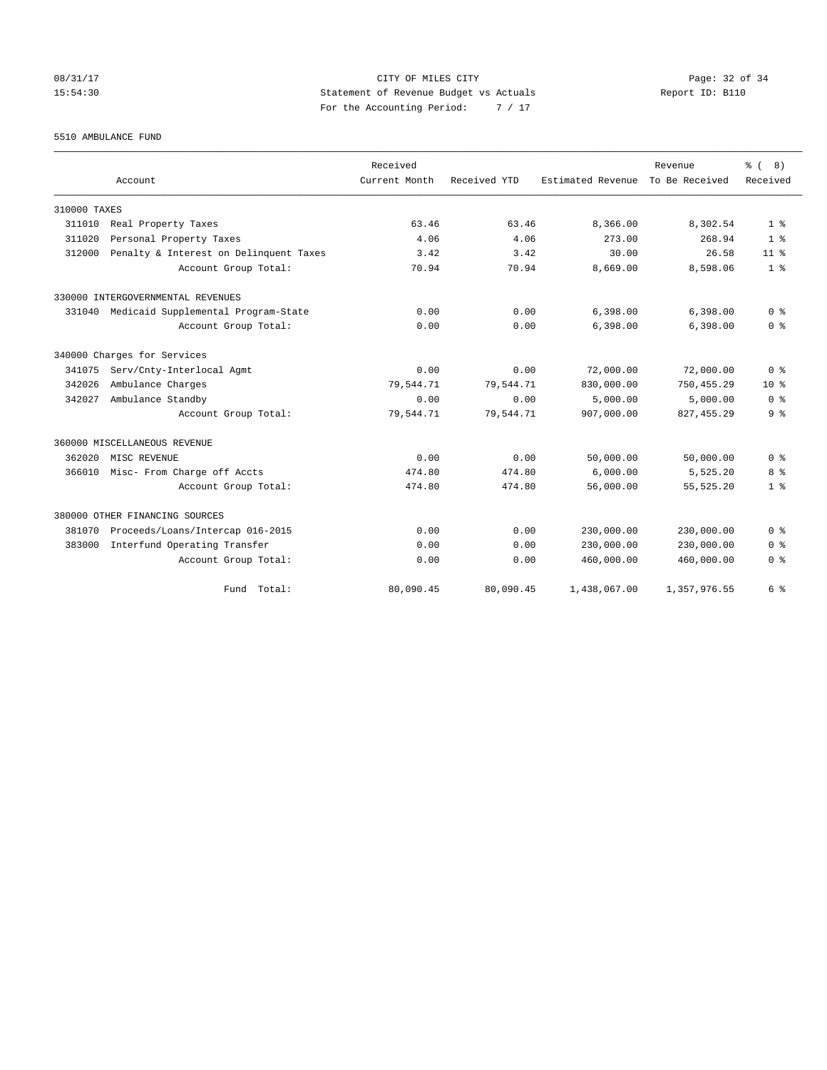08/31/17 Page: 32 of 34 15:54:30 Statement of Revenue Budget vs Actuals Report ID: B110 For the Accounting Period: 7 / 17

5510 AMBULANCE FUND

|              |                                        | Received      |              |                   | Revenue        | % (8)           |
|--------------|----------------------------------------|---------------|--------------|-------------------|----------------|-----------------|
|              | Account                                | Current Month | Received YTD | Estimated Revenue | To Be Received | Received        |
| 310000 TAXES |                                        |               |              |                   |                |                 |
| 311010       | Real Property Taxes                    | 63.46         | 63.46        | 8,366.00          | 8,302.54       | 1 <sup>8</sup>  |
| 311020       | Personal Property Taxes                | 4.06          | 4.06         | 273.00            | 268.94         | 1 <sup>8</sup>  |
| 312000       | Penalty & Interest on Delinquent Taxes | 3.42          | 3.42         | 30.00             | 26.58          | 11 <sup>8</sup> |
|              | Account Group Total:                   | 70.94         | 70.94        | 8,669.00          | 8,598.06       | 1 <sup>8</sup>  |
|              | 330000 INTERGOVERNMENTAL REVENUES      |               |              |                   |                |                 |
| 331040       | Medicaid Supplemental Program-State    | 0.00          | 0.00         | 6,398.00          | 6,398.00       | 0 <sup>8</sup>  |
|              | Account Group Total:                   | 0.00          | 0.00         | 6,398.00          | 6,398.00       | 0 <sup>8</sup>  |
|              | 340000 Charges for Services            |               |              |                   |                |                 |
| 341075       | Serv/Cnty-Interlocal Agmt              | 0.00          | 0.00         | 72,000.00         | 72,000.00      | 0 <sup>8</sup>  |
| 342026       | Ambulance Charges                      | 79,544.71     | 79,544.71    | 830,000.00        | 750, 455.29    | $10*$           |
| 342027       | Ambulance Standby                      | 0.00          | 0.00         | 5,000.00          | 5,000.00       | 0 <sup>8</sup>  |
|              | Account Group Total:                   | 79,544.71     | 79,544.71    | 907,000.00        | 827, 455.29    | 9 <sup>8</sup>  |
|              | 360000 MISCELLANEOUS REVENUE           |               |              |                   |                |                 |
| 362020       | MISC REVENUE                           | 0.00          | 0.00         | 50,000.00         | 50,000.00      | 0 <sup>8</sup>  |
| 366010       | Misc- From Charge off Accts            | 474.80        | 474.80       | 6,000.00          | 5,525.20       | 8 %             |
|              | Account Group Total:                   | 474.80        | 474.80       | 56,000.00         | 55, 525.20     | 1 <sup>8</sup>  |
|              | 380000 OTHER FINANCING SOURCES         |               |              |                   |                |                 |
| 381070       | Proceeds/Loans/Intercap 016-2015       | 0.00          | 0.00         | 230,000.00        | 230,000.00     | 0 <sup>8</sup>  |
| 383000       | Interfund Operating Transfer           | 0.00          | 0.00         | 230,000.00        | 230,000.00     | 0 <sup>8</sup>  |
|              | Account Group Total:                   | 0.00          | 0.00         | 460,000.00        | 460,000.00     | 0 <sup>8</sup>  |
|              | Fund Total:                            | 80,090.45     | 80,090.45    | 1,438,067.00      | 1,357,976.55   | 6 %             |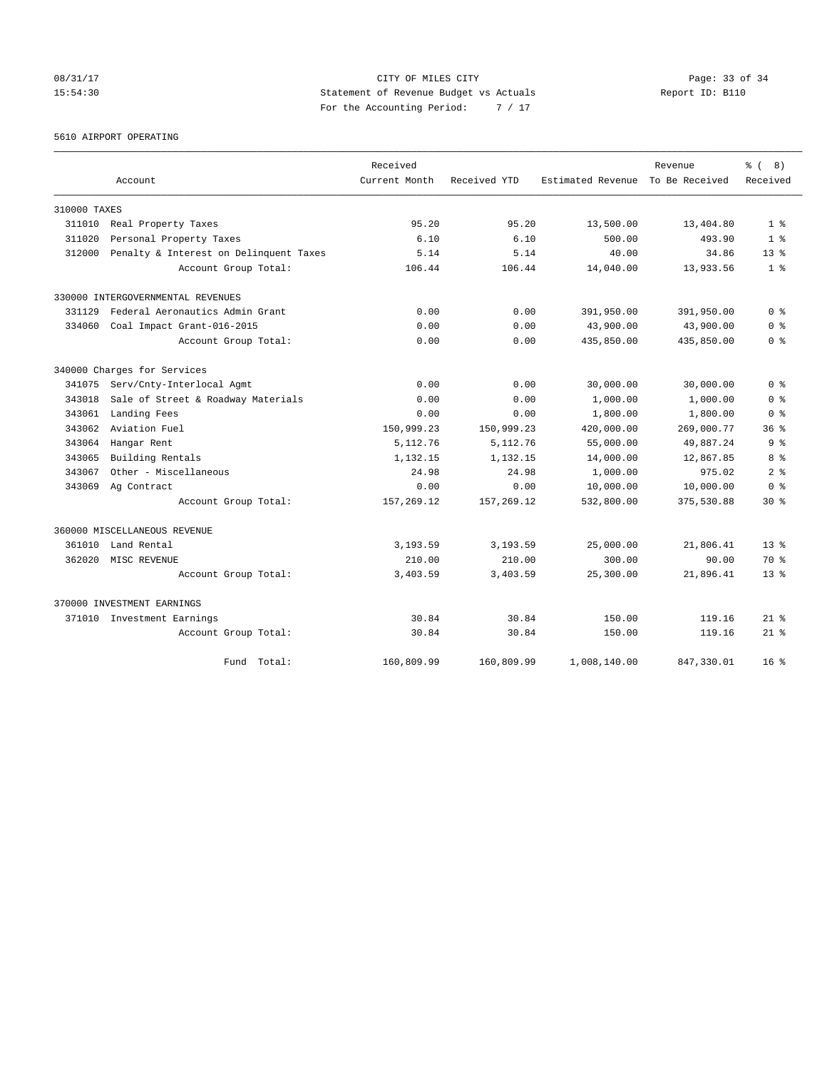08/31/17 Page: 33 of 34 15:54:30 Statement of Revenue Budget vs Actuals Report ID: B110 For the Accounting Period: 7 / 17

5610 AIRPORT OPERATING

|              |                                        | Received      |              |                   | Revenue        | 8)<br>$\approx$ ( |
|--------------|----------------------------------------|---------------|--------------|-------------------|----------------|-------------------|
|              | Account                                | Current Month | Received YTD | Estimated Revenue | To Be Received | Received          |
| 310000 TAXES |                                        |               |              |                   |                |                   |
| 311010       | Real Property Taxes                    | 95.20         | 95.20        | 13,500.00         | 13,404.80      | 1 <sup>8</sup>    |
| 311020       | Personal Property Taxes                | 6.10          | 6.10         | 500.00            | 493.90         | 1 <sup>8</sup>    |
| 312000       | Penalty & Interest on Delinquent Taxes | 5.14          | 5.14         | 40.00             | 34.86          | $13*$             |
|              | Account Group Total:                   | 106.44        | 106.44       | 14,040.00         | 13,933.56      | 1 <sup>8</sup>    |
|              | 330000 INTERGOVERNMENTAL REVENUES      |               |              |                   |                |                   |
| 331129       | Federal Aeronautics Admin Grant        | 0.00          | 0.00         | 391,950.00        | 391,950.00     | 0 <sup>8</sup>    |
| 334060       | Coal Impact Grant-016-2015             | 0.00          | 0.00         | 43,900.00         | 43,900.00      | 0 <sup>8</sup>    |
|              | Account Group Total:                   | 0.00          | 0.00         | 435,850.00        | 435,850.00     | 0 <sup>8</sup>    |
|              | 340000 Charges for Services            |               |              |                   |                |                   |
| 341075       | Serv/Cnty-Interlocal Agmt              | 0.00          | 0.00         | 30,000.00         | 30,000.00      | 0 <sup>8</sup>    |
| 343018       | Sale of Street & Roadway Materials     | 0.00          | 0.00         | 1,000.00          | 1,000.00       | 0 <sup>8</sup>    |
| 343061       | Landing Fees                           | 0.00          | 0.00         | 1,800.00          | 1,800.00       | 0 <sup>8</sup>    |
| 343062       | Aviation Fuel                          | 150,999.23    | 150,999.23   | 420,000.00        | 269,000.77     | 36 <sup>8</sup>   |
| 343064       | Hangar Rent                            | 5,112.76      | 5,112.76     | 55,000.00         | 49,887.24      | 9 <sup>8</sup>    |
| 343065       | Building Rentals                       | 1,132.15      | 1,132.15     | 14,000.00         | 12,867.85      | 8 %               |
| 343067       | Other - Miscellaneous                  | 24.98         | 24.98        | 1,000.00          | 975.02         | 2 <sup>8</sup>    |
| 343069       | Ag Contract                            | 0.00          | 0.00         | 10,000.00         | 10,000.00      | 0 <sup>8</sup>    |
|              | Account Group Total:                   | 157, 269.12   | 157, 269.12  | 532,800.00        | 375,530.88     | $30*$             |
|              | 360000 MISCELLANEOUS REVENUE           |               |              |                   |                |                   |
| 361010       | Land Rental                            | 3,193.59      | 3,193.59     | 25,000.00         | 21,806.41      | $13*$             |
| 362020       | MISC REVENUE                           | 210.00        | 210.00       | 300.00            | 90.00          | 70 %              |
|              | Account Group Total:                   | 3,403.59      | 3,403.59     | 25,300.00         | 21,896.41      | $13*$             |
|              | 370000 INVESTMENT EARNINGS             |               |              |                   |                |                   |
|              | 371010 Investment Earnings             | 30.84         | 30.84        | 150.00            | 119.16         | $21$ $%$          |
|              | Account Group Total:                   | 30.84         | 30.84        | 150.00            | 119.16         | $21*$             |
|              | Total:<br>Fund                         | 160,809.99    | 160,809.99   | 1,008,140.00      | 847, 330.01    | 16 <sup>8</sup>   |